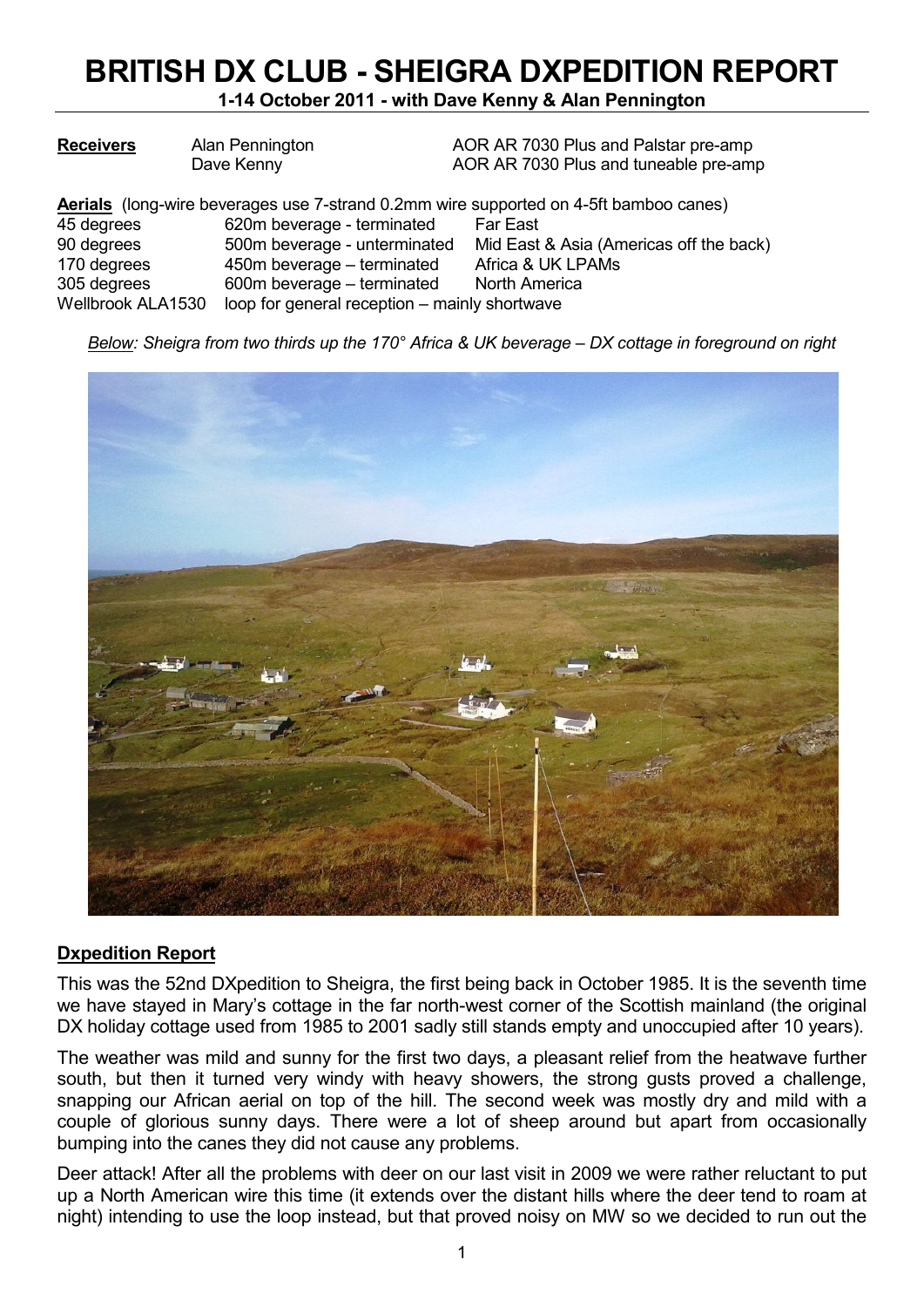# **BRITISH DX CLUB - SHEIGRA DXPEDITION REPORT**

**1-14 October 2011 - with Dave Kenny & Alan Pennington** 

| <b>Receivers</b>  | Alan Pennington                               | AOR AR 7030 Plus and Palstar pre-amp                                                         |
|-------------------|-----------------------------------------------|----------------------------------------------------------------------------------------------|
|                   | Dave Kenny                                    | AOR AR 7030 Plus and tuneable pre-amp                                                        |
|                   |                                               | <b>Aerials</b> (long-wire beverages use 7-strand 0.2mm wire supported on 4-5ft bamboo canes) |
| 45 degrees        | 620m beverage - terminated                    | <b>Far East</b>                                                                              |
| 90 degrees        | 500m beverage - unterminated                  | Mid East & Asia (Americas off the back)                                                      |
| 170 degrees       | 450m beverage – terminated                    | Africa & UK LPAMs                                                                            |
| 305 degrees       | 600m beverage – terminated                    | North America                                                                                |
| Wellbrook ALA1530 | loop for general reception - mainly shortwave |                                                                                              |

*Below: Sheigra from two thirds up the 170° Africa & UK beverage – DX cottage in foreground on right* 



#### **Dxpedition Report**

This was the 52nd DXpedition to Sheigra, the first being back in October 1985. It is the seventh time we have stayed in Mary's cottage in the far north-west corner of the Scottish mainland (the original DX holiday cottage used from 1985 to 2001 sadly still stands empty and unoccupied after 10 years).

The weather was mild and sunny for the first two days, a pleasant relief from the heatwave further south, but then it turned very windy with heavy showers, the strong gusts proved a challenge, snapping our African aerial on top of the hill. The second week was mostly dry and mild with a couple of glorious sunny days. There were a lot of sheep around but apart from occasionally bumping into the canes they did not cause any problems.

Deer attack! After all the problems with deer on our last visit in 2009 we were rather reluctant to put up a North American wire this time (it extends over the distant hills where the deer tend to roam at night) intending to use the loop instead, but that proved noisy on MW so we decided to run out the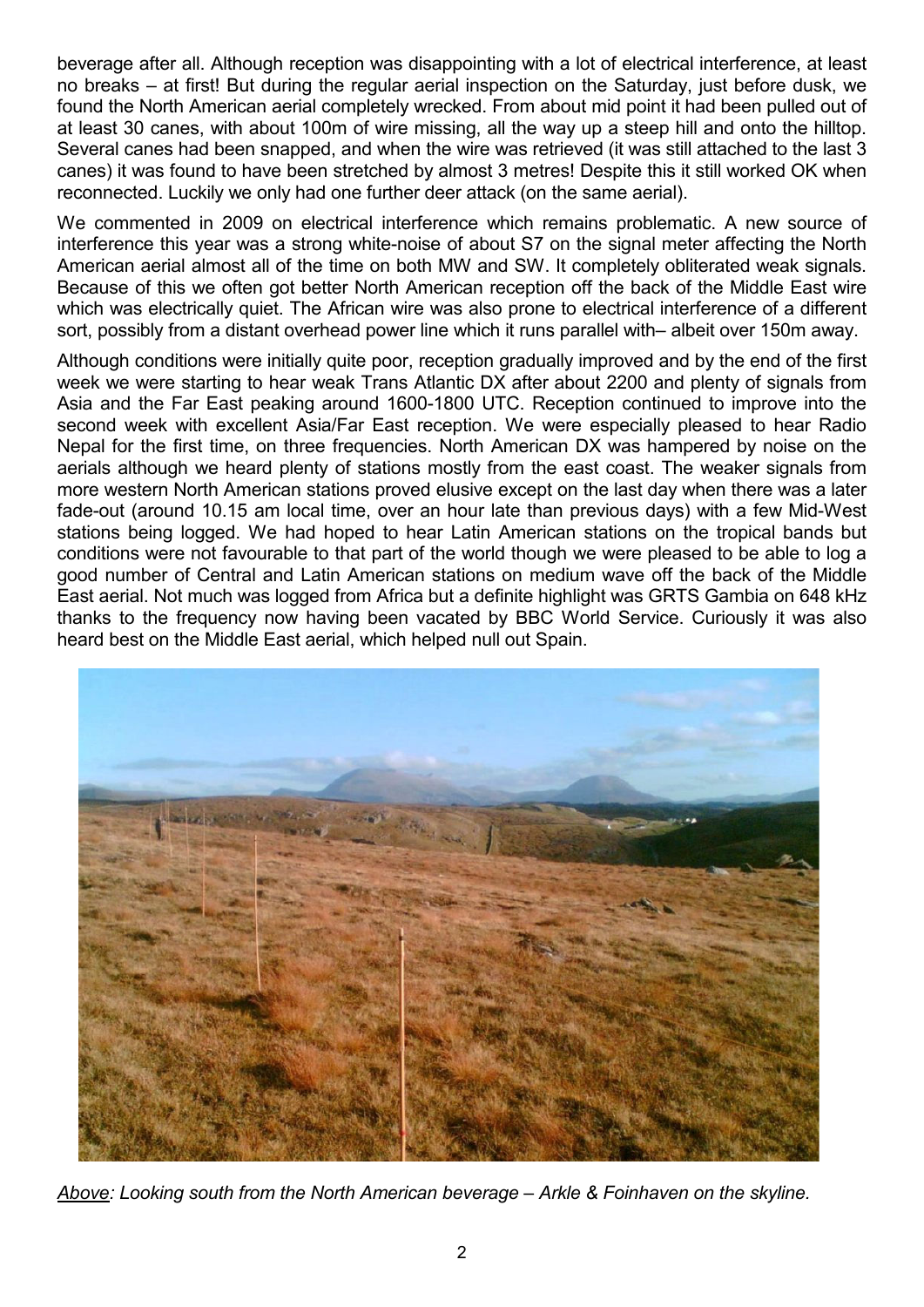beverage after all. Although reception was disappointing with a lot of electrical interference, at least no breaks – at first! But during the regular aerial inspection on the Saturday, just before dusk, we found the North American aerial completely wrecked. From about mid point it had been pulled out of at least 30 canes, with about 100m of wire missing, all the way up a steep hill and onto the hilltop. Several canes had been snapped, and when the wire was retrieved (it was still attached to the last 3 canes) it was found to have been stretched by almost 3 metres! Despite this it still worked OK when reconnected. Luckily we only had one further deer attack (on the same aerial).

We commented in 2009 on electrical interference which remains problematic. A new source of interference this year was a strong white-noise of about S7 on the signal meter affecting the North American aerial almost all of the time on both MW and SW. It completely obliterated weak signals. Because of this we often got better North American reception off the back of the Middle East wire which was electrically quiet. The African wire was also prone to electrical interference of a different sort, possibly from a distant overhead power line which it runs parallel with– albeit over 150m away.

Although conditions were initially quite poor, reception gradually improved and by the end of the first week we were starting to hear weak Trans Atlantic DX after about 2200 and plenty of signals from Asia and the Far East peaking around 1600-1800 UTC. Reception continued to improve into the second week with excellent Asia/Far East reception. We were especially pleased to hear Radio Nepal for the first time, on three frequencies. North American DX was hampered by noise on the aerials although we heard plenty of stations mostly from the east coast. The weaker signals from more western North American stations proved elusive except on the last day when there was a later fade-out (around 10.15 am local time, over an hour late than previous days) with a few Mid-West stations being logged. We had hoped to hear Latin American stations on the tropical bands but conditions were not favourable to that part of the world though we were pleased to be able to log a good number of Central and Latin American stations on medium wave off the back of the Middle East aerial. Not much was logged from Africa but a definite highlight was GRTS Gambia on 648 kHz thanks to the frequency now having been vacated by BBC World Service. Curiously it was also heard best on the Middle East aerial, which helped null out Spain.



*Above: Looking south from the North American beverage – Arkle & Foinhaven on the skyline.*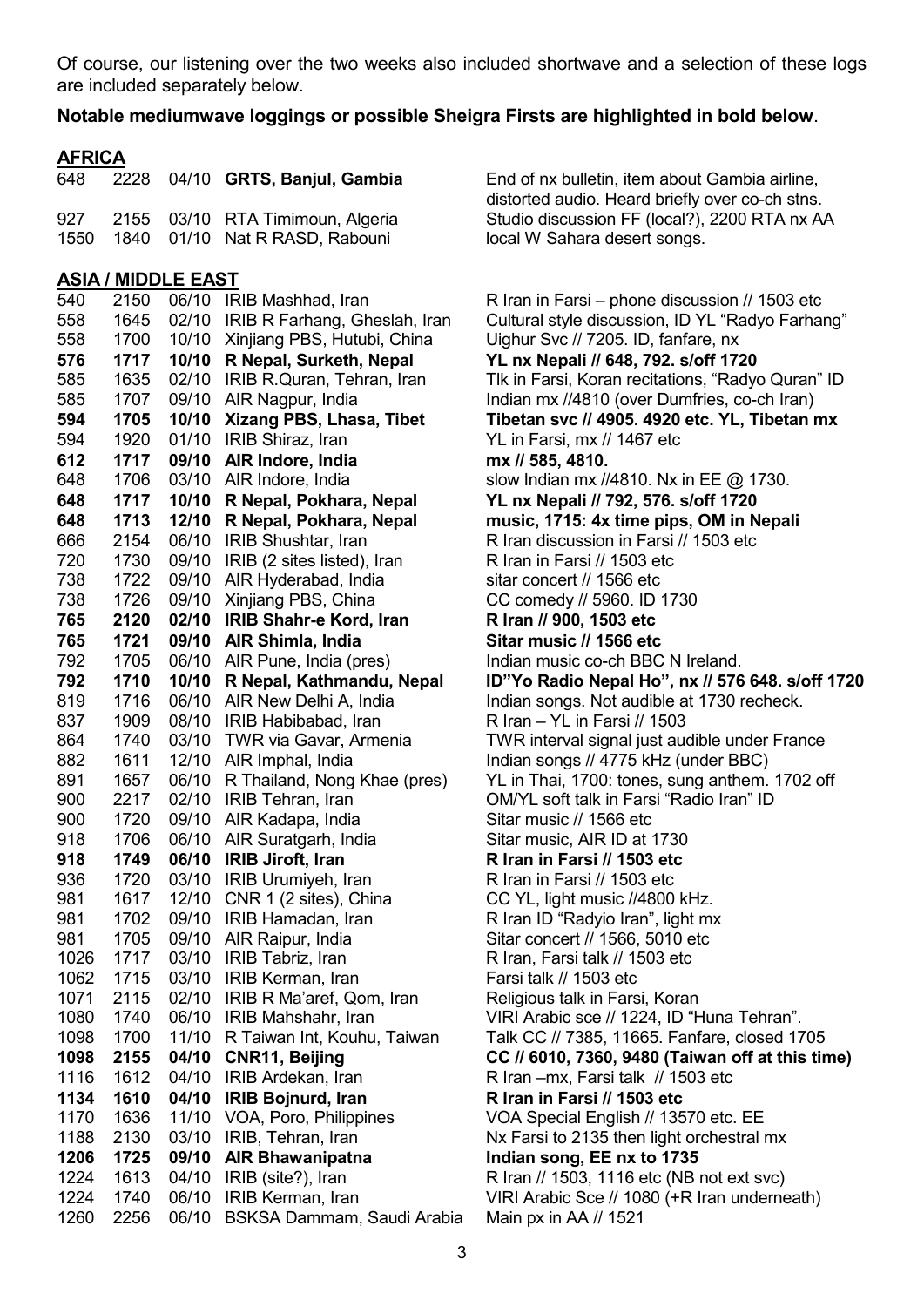Of course, our listening over the two weeks also included shortwave and a selection of these logs are included separately below.

#### **Notable mediumwave loggings or possible Sheigra Firsts are highlighted in bold below**.

### **AFRICA**

1550 1840 01/10 Nat R RASD, Rabouni local W Sahara desert songs.

#### **ASIA / MIDDLE EAST**

| 540  | 2150 | 06/10 | IRIB Mashhad, Iran             |
|------|------|-------|--------------------------------|
| 558  | 1645 | 02/10 | IRIB R Farhang, Gheslah, Iran  |
| 558  | 1700 | 10/10 | Xinjiang PBS, Hutubi, China    |
| 576  | 1717 | 10/10 | R Nepal, Surketh, Nepal        |
| 585  | 1635 | 02/10 | IRIB R.Quran, Tehran, Iran     |
| 585  | 1707 | 09/10 | AIR Nagpur, India              |
| 594  | 1705 | 10/10 | Xizang PBS, Lhasa, Tibet       |
| 594  | 1920 | 01/10 | IRIB Shiraz, Iran              |
| 612  | 1717 | 09/10 | AIR Indore, India              |
| 648  | 1706 | 03/10 | AIR Indore, India              |
| 648  | 1717 | 10/10 | R Nepal, Pokhara, Nepal        |
| 648  | 1713 | 12/10 | R Nepal, Pokhara, Nepal        |
| 666  | 2154 | 06/10 | <b>IRIB Shushtar, Iran</b>     |
| 720  | 1730 | 09/10 | IRIB (2 sites listed), Iran    |
| 738  | 1722 | 09/10 | AIR Hyderabad, India           |
| 738  | 1726 | 09/10 | Xinjiang PBS, China            |
| 765  | 2120 | 02/10 | <b>IRIB Shahr-e Kord, Iran</b> |
| 765  | 1721 | 09/10 | AIR Shimla, India              |
| 792  | 1705 | 06/10 | AIR Pune, India (pres)         |
| 792  | 1710 | 10/10 | R Nepal, Kathmandu, Nepal      |
| 819  | 1716 | 06/10 | AIR New Delhi A, India         |
| 837  | 1909 | 08/10 | IRIB Habibabad, Iran           |
| 864  | 1740 | 03/10 | TWR via Gavar, Armenia         |
| 882  | 1611 | 12/10 | AIR Imphal, India              |
| 891  | 1657 | 06/10 | R Thailand, Nong Khae (pres)   |
| 900  | 2217 | 02/10 | <b>IRIB Tehran, Iran</b>       |
| 900  | 1720 | 09/10 | AIR Kadapa, India              |
| 918  | 1706 | 06/10 | AIR Suratgarh, India           |
| 918  | 1749 | 06/10 | <b>IRIB Jiroft, Iran</b>       |
| 936  | 1720 | 03/10 | IRIB Urumiyeh, Iran            |
| 981  | 1617 | 12/10 | CNR 1 (2 sites), China         |
| 981  | 1702 | 09/10 | IRIB Hamadan, Iran             |
| 981  | 1705 | 09/10 | AIR Raipur, India              |
| 1026 | 1717 | 03/10 | <b>IRIB Tabriz, Iran</b>       |
| 1062 | 1715 | 03/10 | IRIB Kerman, Iran              |
| 1071 | 2115 | 02/10 | IRIB R Ma'aref, Qom, Iran      |
| 1080 | 1740 | 06/10 | IRIB Mahshahr, Iran            |
| 1098 | 1700 | 11/10 | R Taiwan Int, Kouhu, Taiwan    |
| 1098 | 2155 | 04/10 | <b>CNR11, Beijing</b>          |
| 1116 | 1612 | 04/10 | IRIB Ardekan, Iran             |
| 1134 | 1610 | 04/10 | IRIB Bojnurd, Iran             |
| 1170 | 1636 | 11/10 | VOA, Poro, Philippines         |
| 1188 | 2130 | 03/10 | IRIB, Tehran, Iran             |
| 1206 | 1725 | 09/10 | <b>AIR Bhawanipatna</b>        |
| 1224 | 1613 | 04/10 | IRIB (site?), Iran             |
| 1224 | 1740 | 06/10 | IRIB Kerman, Iran              |
| 1260 | 2256 | 06/10 | BSKSA Dammam, Saudi Arabia     |

648 2228 04/10 **GRTS, Banjul, Gambia** End of nx bulletin, item about Gambia airline, distorted audio. Heard briefly over co-ch stns. 927 2155 03/10 RTA Timimoun, Algeria Studio discussion FF (local?), 2200 RTA nx AA

> $R$  Iran in Farsi – phone discussion // 1503 etc Cultural style discussion, ID YL "Radyo Farhang" Uighur Svc // 7205. ID, fanfare, nx **576 1717 10/10 R Nepal, Surketh, Nepal YL nx Nepali // 648, 792. s/off 1720**  Tlk in Farsi, Koran recitations, "Radyo Quran" ID Indian mx //4810 (over Dumfries, co-ch Iran) **Tibetan svc // 4905. 4920 etc. YL, Tibetan mx** YL in Farsi, mx // 1467 etc mx // 585, 4810. slow Indian mx //4810. Nx in EE @ 1730. **648 1717 10/10 R Nepal, Pokhara, Nepal YL nx Nepali // 792, 576. s/off 1720**  music, 1715: 4x time pips, OM in Nepali R Iran discussion in Farsi // 1503 etc R Iran in Farsi // 1503 etc. sitar concert // 1566 etc CC comedy // 5960. ID 1730 **765 2120 02/10 IRIB Shahr-e Kord, Iran R Iran // 900, 1503 etc**  *<u>Sitar music // 1566 etc</u>* Indian music co-ch BBC N Ireland. **ID"Yo Radio Nepal Ho", nx // 576 648. s/off 1720** Indian songs. Not audible at 1730 recheck.  $R$  Iran – YL in Farsi // 1503 TWR interval signal just audible under France Indian songs // 4775 kHz (under BBC) YL in Thai. 1700: tones, sung anthem. 1702 off 0M/YL soft talk in Farsi "Radio Iran" ID Sitar music // 1566 etc Sitar music, AIR ID at 1730 **918 1749 06/10 IRIB Jiroft, Iran R Iran in Farsi // 1503 etc**  R Iran in Farsi // 1503 etc CC YL, light music //4800 kHz. R Iran ID "Radyio Iran", light mx Sitar concert // 1566, 5010 etc R Iran, Farsi talk // 1503 etc Farsi talk // 1503 etc Religious talk in Farsi, Koran VIRI Arabic sce // 1224, ID "Huna Tehran". Talk CC // 7385, 11665. Fanfare, closed 1705 **1098 2155 04/10 CNR11, Beijing CC // 6010, 7360, 9480 (Taiwan off at this time)**  R Iran –mx, Farsi talk // 1503 etc **1134 1610 04/10 IRIB Bojnurd, Iran R Iran in Farsi // 1503 etc**  VOA Special English // 13570 etc. EE Nx Farsi to 2135 then light orchestral mx **1206 1725 09/10 AIR Bhawanipatna Indian song, EE nx to 1735**  R Iran // 1503, 1116 etc (NB not ext svc) VIRI Arabic Sce // 1080 (+R Iran underneath) a Main px in AA  $\text{/}$  1521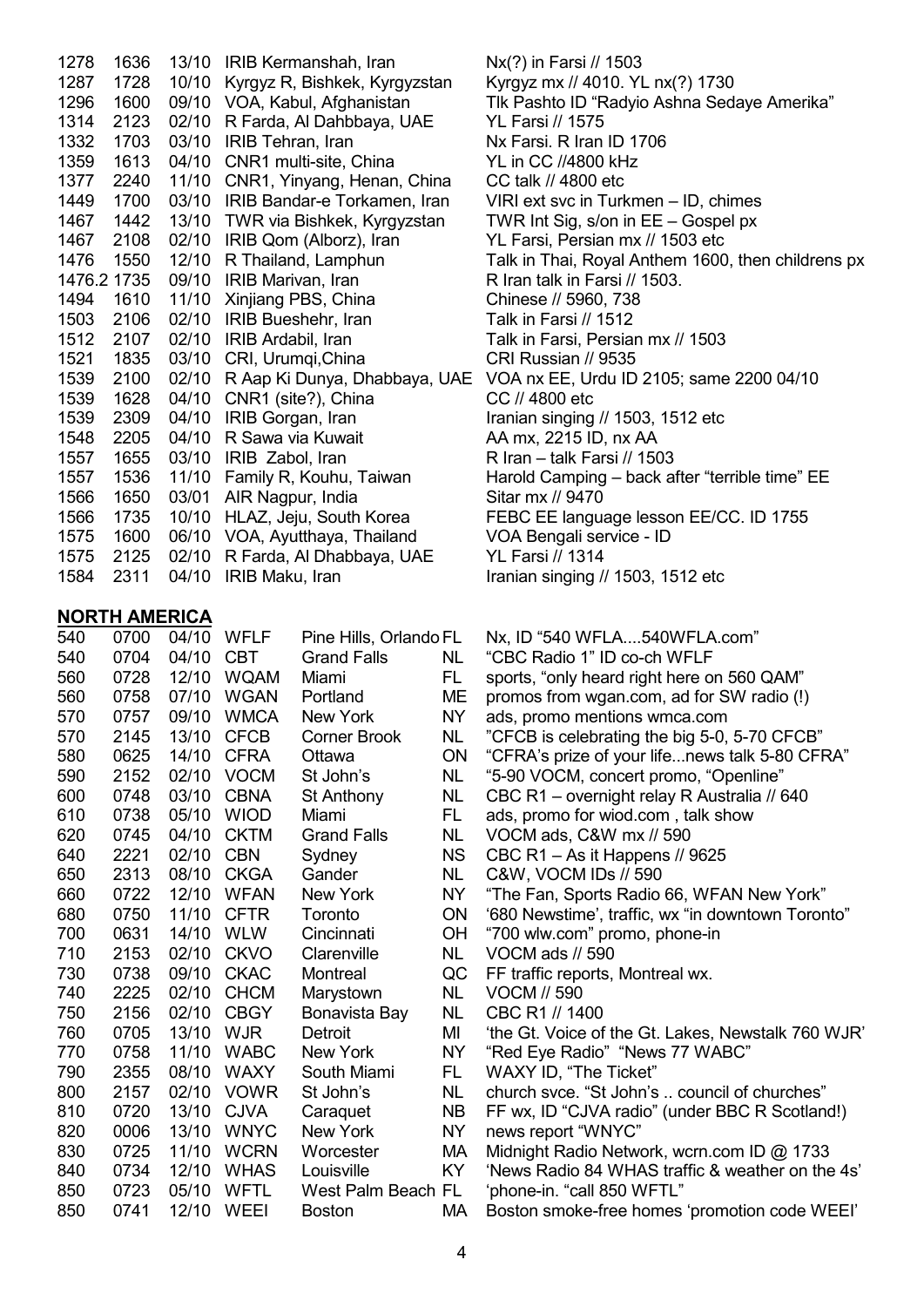| 1278 | 1636        |       | 13/10 IRIB Kermanshah, Iran         | Nx(?) in Farsi // 1503                                                       |
|------|-------------|-------|-------------------------------------|------------------------------------------------------------------------------|
| 1287 | 1728        |       | 10/10 Kyrgyz R, Bishkek, Kyrgyzstan | Kyrgyz mx // 4010. YL nx(?) 1730                                             |
| 1296 | 1600        |       | 09/10 VOA, Kabul, Afghanistan       | Tlk Pashto ID "Radyio Ashna Sedaye Amerika"                                  |
| 1314 | 2123        |       | 02/10 R Farda, Al Dahbbaya, UAE     | YL Farsi // 1575                                                             |
| 1332 | 1703        | 03/10 | IRIB Tehran, Iran                   | Nx Farsi. R Iran ID 1706                                                     |
| 1359 | 1613        |       | 04/10 CNR1 multi-site, China        | YL in CC //4800 kHz                                                          |
| 1377 | 2240        |       | 11/10 CNR1, Yinyang, Henan, China   | CC talk // 4800 etc                                                          |
| 1449 | 1700        |       | 03/10 IRIB Bandar-e Torkamen, Iran  | VIRI ext svc in Turkmen - ID, chimes                                         |
| 1467 | 1442        |       | 13/10 TWR via Bishkek, Kyrgyzstan   | TWR Int Sig, s/on in $EE - G$ ospel px                                       |
| 1467 | 2108        | 02/10 | IRIB Qom (Alborz), Iran             | YL Farsi, Persian mx // 1503 etc                                             |
| 1476 | 1550        | 12/10 | R Thailand, Lamphun                 | Talk in Thai, Royal Anthem 1600, then childrens px                           |
|      | 1476.2 1735 |       | 09/10 IRIB Marivan, Iran            | R Iran talk in Farsi // 1503.                                                |
| 1494 | 1610        |       | 11/10 Xinjiang PBS, China           | Chinese // 5960, 738                                                         |
| 1503 | 2106        | 02/10 | IRIB Bueshehr, Iran                 | Talk in Farsi // 1512                                                        |
| 1512 | 2107        |       | 02/10 IRIB Ardabil, Iran            | Talk in Farsi, Persian mx // 1503                                            |
| 1521 | 1835        |       | 03/10 CRI, Urumqi, China            | CRI Russian // 9535                                                          |
| 1539 | 2100        |       |                                     | 02/10 R Aap Ki Dunya, Dhabbaya, UAE VOA nx EE, Urdu ID 2105; same 2200 04/10 |
| 1539 | 1628        | 04/10 | CNR1 (site?), China                 | CC // 4800 etc                                                               |
| 1539 | 2309        | 04/10 | IRIB Gorgan, Iran                   | Iranian singing // 1503, 1512 etc                                            |
| 1548 | 2205        | 04/10 | R Sawa via Kuwait                   | AA mx, 2215 ID, nx AA                                                        |
| 1557 | 1655        | 03/10 | IRIB Zabol, Iran                    | R Iran - talk Farsi // $1503$                                                |
| 1557 | 1536        | 11/10 | Family R, Kouhu, Taiwan             | Harold Camping – back after "terrible time" EE                               |
| 1566 | 1650        | 03/01 | AIR Nagpur, India                   | Sitar mx // 9470                                                             |
| 1566 | 1735        | 10/10 | HLAZ, Jeju, South Korea             | FEBC EE language lesson EE/CC. ID 1755                                       |
| 1575 | 1600        |       | 06/10 VOA, Ayutthaya, Thailand      | VOA Bengali service - ID                                                     |
| 1575 | 2125        | 02/10 | R Farda, Al Dhabbaya, UAE           | YL Farsi // 1314                                                             |
| 1584 | 2311        | 04/10 | IRIB Maku, Iran                     | Iranian singing // 1503, 1512 etc                                            |

**NORTH AMERICA**

| 540<br>0704<br>04/10<br><b>CBT</b><br><b>Grand Falls</b><br><b>NL</b><br>"CBC Radio 1" ID co-ch WFLF<br>12/10<br><b>WQAM</b><br>560<br>0728<br>FL.<br>sports, "only heard right here on 560 QAM"<br>Miami<br>0758<br>07/10<br><b>WGAN</b><br>560<br>Portland<br><b>ME</b><br>promos from wgan.com, ad for SW radio (!)<br><b>WMCA</b><br>570<br>0757<br>09/10<br>New York<br><b>NY</b><br>ads, promo mentions wmca.com<br>570<br>2145<br>13/10<br><b>CFCB</b><br>Corner Brook<br><b>NL</b><br>"CFCB is celebrating the big 5-0, 5-70 CFCB"<br>580<br>0625<br>14/10<br><b>CFRA</b><br>ON<br>"CFRA's prize of your lifenews talk 5-80 CFRA"<br>Ottawa<br><b>VOCM</b><br>590<br>2152<br>02/10<br>"5-90 VOCM, concert promo, "Openline"<br>St John's<br><b>NL</b><br><b>CBNA</b><br>600<br>0748<br>03/10<br>CBC R1 - overnight relay R Australia // 640<br>NL<br>St Anthony<br>610<br>0738<br>05/10<br><b>WIOD</b><br>FL.<br>ads, promo for wiod.com, talk show<br>Miami<br>620<br>0745<br>04/10<br><b>CKTM</b><br>VOCM ads, C&W mx // 590<br><b>Grand Falls</b><br><b>NL</b><br>2221<br>02/10<br><b>CBN</b><br><b>NS</b><br>640<br>CBC R1 - As it Happens // 9625<br>Sydney<br>650<br>2313<br>08/10<br><b>CKGA</b><br><b>NL</b><br>C&W, VOCM IDs // 590<br>Gander<br>660<br>0722<br>12/10<br><b>WFAN</b><br><b>NY</b><br>"The Fan, Sports Radio 66, WFAN New York"<br>New York<br>680<br>11/10<br>0750<br><b>CFTR</b><br>'680 Newstime', traffic, wx "in downtown Toronto"<br>Toronto<br><b>ON</b><br>700<br>0631<br>14/10<br><b>WLW</b><br>OH<br>"700 wlw.com" promo, phone-in<br>Cincinnati<br>2153<br><b>CKVO</b><br>710<br>02/10<br><b>NL</b><br>VOCM ads // 590<br>Clarenville<br>730<br>0738<br>09/10<br><b>CKAC</b><br>QC<br>Montreal<br>FF traffic reports, Montreal wx.<br><b>CHCM</b><br>2225<br>02/10<br>740<br>Marystown<br><b>NL</b><br><b>VOCM // 590</b><br>750<br>2156<br>02/10<br><b>CBGY</b><br><b>NL</b><br>CBC R1 // 1400<br>Bonavista Bay<br>0705<br>13/10<br>760<br><b>WJR</b><br>MI<br>Detroit<br>'the Gt. Voice of the Gt. Lakes, Newstalk 760 WJR'<br>770<br>0758<br>11/10<br><b>WABC</b><br>New York<br>NY<br>"Red Eye Radio" "News 77 WABC"<br>2355<br>08/10<br>790<br><b>WAXY</b><br>South Miami<br>FL.<br>WAXY ID, "The Ticket"<br>800<br>2157<br>02/10<br><b>VOWR</b><br>St John's<br><b>NL</b><br>church svce. "St John's  council of churches"<br>13/10<br><b>CJVA</b><br>810<br>0720<br><b>NB</b><br>FF wx, ID "CJVA radio" (under BBC R Scotland!)<br>Caraquet<br>820<br>0006<br>13/10<br><b>WNYC</b><br>New York<br><b>NY</b><br>news report "WNYC"<br>0725<br>11/10<br><b>WCRN</b><br>830<br>MA<br>Midnight Radio Network, wcrn.com ID @ 1733<br>Worcester<br>840<br>0734<br>12/10<br><b>WHAS</b><br><b>KY</b><br>'News Radio 84 WHAS traffic & weather on the 4s'<br>Louisville<br>850<br>0723<br>05/10<br><b>WFTL</b><br>West Palm Beach FL<br>'phone-in. "call 850 WFTL"<br>850<br>0741<br>12/10<br>WEEI<br>МA<br>Boston smoke-free homes 'promotion code WEEI'<br><b>Boston</b> | 540 | 0700 | 04/10 | <b>WFLF</b> | Pine Hills, Orlando FL | Nx, ID "540 WFLA540WFLA.com" |
|----------------------------------------------------------------------------------------------------------------------------------------------------------------------------------------------------------------------------------------------------------------------------------------------------------------------------------------------------------------------------------------------------------------------------------------------------------------------------------------------------------------------------------------------------------------------------------------------------------------------------------------------------------------------------------------------------------------------------------------------------------------------------------------------------------------------------------------------------------------------------------------------------------------------------------------------------------------------------------------------------------------------------------------------------------------------------------------------------------------------------------------------------------------------------------------------------------------------------------------------------------------------------------------------------------------------------------------------------------------------------------------------------------------------------------------------------------------------------------------------------------------------------------------------------------------------------------------------------------------------------------------------------------------------------------------------------------------------------------------------------------------------------------------------------------------------------------------------------------------------------------------------------------------------------------------------------------------------------------------------------------------------------------------------------------------------------------------------------------------------------------------------------------------------------------------------------------------------------------------------------------------------------------------------------------------------------------------------------------------------------------------------------------------------------------------------------------------------------------------------------------------------------------------------------------------------------------------------------------------------------------------------------------------------------------------------------------------------------------------------------------------------------------------------------------------------------------------------------------------------------------------------------------------------------------------------------------------------------------------------------------------------|-----|------|-------|-------------|------------------------|------------------------------|
|                                                                                                                                                                                                                                                                                                                                                                                                                                                                                                                                                                                                                                                                                                                                                                                                                                                                                                                                                                                                                                                                                                                                                                                                                                                                                                                                                                                                                                                                                                                                                                                                                                                                                                                                                                                                                                                                                                                                                                                                                                                                                                                                                                                                                                                                                                                                                                                                                                                                                                                                                                                                                                                                                                                                                                                                                                                                                                                                                                                                                      |     |      |       |             |                        |                              |
|                                                                                                                                                                                                                                                                                                                                                                                                                                                                                                                                                                                                                                                                                                                                                                                                                                                                                                                                                                                                                                                                                                                                                                                                                                                                                                                                                                                                                                                                                                                                                                                                                                                                                                                                                                                                                                                                                                                                                                                                                                                                                                                                                                                                                                                                                                                                                                                                                                                                                                                                                                                                                                                                                                                                                                                                                                                                                                                                                                                                                      |     |      |       |             |                        |                              |
|                                                                                                                                                                                                                                                                                                                                                                                                                                                                                                                                                                                                                                                                                                                                                                                                                                                                                                                                                                                                                                                                                                                                                                                                                                                                                                                                                                                                                                                                                                                                                                                                                                                                                                                                                                                                                                                                                                                                                                                                                                                                                                                                                                                                                                                                                                                                                                                                                                                                                                                                                                                                                                                                                                                                                                                                                                                                                                                                                                                                                      |     |      |       |             |                        |                              |
|                                                                                                                                                                                                                                                                                                                                                                                                                                                                                                                                                                                                                                                                                                                                                                                                                                                                                                                                                                                                                                                                                                                                                                                                                                                                                                                                                                                                                                                                                                                                                                                                                                                                                                                                                                                                                                                                                                                                                                                                                                                                                                                                                                                                                                                                                                                                                                                                                                                                                                                                                                                                                                                                                                                                                                                                                                                                                                                                                                                                                      |     |      |       |             |                        |                              |
|                                                                                                                                                                                                                                                                                                                                                                                                                                                                                                                                                                                                                                                                                                                                                                                                                                                                                                                                                                                                                                                                                                                                                                                                                                                                                                                                                                                                                                                                                                                                                                                                                                                                                                                                                                                                                                                                                                                                                                                                                                                                                                                                                                                                                                                                                                                                                                                                                                                                                                                                                                                                                                                                                                                                                                                                                                                                                                                                                                                                                      |     |      |       |             |                        |                              |
|                                                                                                                                                                                                                                                                                                                                                                                                                                                                                                                                                                                                                                                                                                                                                                                                                                                                                                                                                                                                                                                                                                                                                                                                                                                                                                                                                                                                                                                                                                                                                                                                                                                                                                                                                                                                                                                                                                                                                                                                                                                                                                                                                                                                                                                                                                                                                                                                                                                                                                                                                                                                                                                                                                                                                                                                                                                                                                                                                                                                                      |     |      |       |             |                        |                              |
|                                                                                                                                                                                                                                                                                                                                                                                                                                                                                                                                                                                                                                                                                                                                                                                                                                                                                                                                                                                                                                                                                                                                                                                                                                                                                                                                                                                                                                                                                                                                                                                                                                                                                                                                                                                                                                                                                                                                                                                                                                                                                                                                                                                                                                                                                                                                                                                                                                                                                                                                                                                                                                                                                                                                                                                                                                                                                                                                                                                                                      |     |      |       |             |                        |                              |
|                                                                                                                                                                                                                                                                                                                                                                                                                                                                                                                                                                                                                                                                                                                                                                                                                                                                                                                                                                                                                                                                                                                                                                                                                                                                                                                                                                                                                                                                                                                                                                                                                                                                                                                                                                                                                                                                                                                                                                                                                                                                                                                                                                                                                                                                                                                                                                                                                                                                                                                                                                                                                                                                                                                                                                                                                                                                                                                                                                                                                      |     |      |       |             |                        |                              |
|                                                                                                                                                                                                                                                                                                                                                                                                                                                                                                                                                                                                                                                                                                                                                                                                                                                                                                                                                                                                                                                                                                                                                                                                                                                                                                                                                                                                                                                                                                                                                                                                                                                                                                                                                                                                                                                                                                                                                                                                                                                                                                                                                                                                                                                                                                                                                                                                                                                                                                                                                                                                                                                                                                                                                                                                                                                                                                                                                                                                                      |     |      |       |             |                        |                              |
|                                                                                                                                                                                                                                                                                                                                                                                                                                                                                                                                                                                                                                                                                                                                                                                                                                                                                                                                                                                                                                                                                                                                                                                                                                                                                                                                                                                                                                                                                                                                                                                                                                                                                                                                                                                                                                                                                                                                                                                                                                                                                                                                                                                                                                                                                                                                                                                                                                                                                                                                                                                                                                                                                                                                                                                                                                                                                                                                                                                                                      |     |      |       |             |                        |                              |
|                                                                                                                                                                                                                                                                                                                                                                                                                                                                                                                                                                                                                                                                                                                                                                                                                                                                                                                                                                                                                                                                                                                                                                                                                                                                                                                                                                                                                                                                                                                                                                                                                                                                                                                                                                                                                                                                                                                                                                                                                                                                                                                                                                                                                                                                                                                                                                                                                                                                                                                                                                                                                                                                                                                                                                                                                                                                                                                                                                                                                      |     |      |       |             |                        |                              |
|                                                                                                                                                                                                                                                                                                                                                                                                                                                                                                                                                                                                                                                                                                                                                                                                                                                                                                                                                                                                                                                                                                                                                                                                                                                                                                                                                                                                                                                                                                                                                                                                                                                                                                                                                                                                                                                                                                                                                                                                                                                                                                                                                                                                                                                                                                                                                                                                                                                                                                                                                                                                                                                                                                                                                                                                                                                                                                                                                                                                                      |     |      |       |             |                        |                              |
|                                                                                                                                                                                                                                                                                                                                                                                                                                                                                                                                                                                                                                                                                                                                                                                                                                                                                                                                                                                                                                                                                                                                                                                                                                                                                                                                                                                                                                                                                                                                                                                                                                                                                                                                                                                                                                                                                                                                                                                                                                                                                                                                                                                                                                                                                                                                                                                                                                                                                                                                                                                                                                                                                                                                                                                                                                                                                                                                                                                                                      |     |      |       |             |                        |                              |
|                                                                                                                                                                                                                                                                                                                                                                                                                                                                                                                                                                                                                                                                                                                                                                                                                                                                                                                                                                                                                                                                                                                                                                                                                                                                                                                                                                                                                                                                                                                                                                                                                                                                                                                                                                                                                                                                                                                                                                                                                                                                                                                                                                                                                                                                                                                                                                                                                                                                                                                                                                                                                                                                                                                                                                                                                                                                                                                                                                                                                      |     |      |       |             |                        |                              |
|                                                                                                                                                                                                                                                                                                                                                                                                                                                                                                                                                                                                                                                                                                                                                                                                                                                                                                                                                                                                                                                                                                                                                                                                                                                                                                                                                                                                                                                                                                                                                                                                                                                                                                                                                                                                                                                                                                                                                                                                                                                                                                                                                                                                                                                                                                                                                                                                                                                                                                                                                                                                                                                                                                                                                                                                                                                                                                                                                                                                                      |     |      |       |             |                        |                              |
|                                                                                                                                                                                                                                                                                                                                                                                                                                                                                                                                                                                                                                                                                                                                                                                                                                                                                                                                                                                                                                                                                                                                                                                                                                                                                                                                                                                                                                                                                                                                                                                                                                                                                                                                                                                                                                                                                                                                                                                                                                                                                                                                                                                                                                                                                                                                                                                                                                                                                                                                                                                                                                                                                                                                                                                                                                                                                                                                                                                                                      |     |      |       |             |                        |                              |
|                                                                                                                                                                                                                                                                                                                                                                                                                                                                                                                                                                                                                                                                                                                                                                                                                                                                                                                                                                                                                                                                                                                                                                                                                                                                                                                                                                                                                                                                                                                                                                                                                                                                                                                                                                                                                                                                                                                                                                                                                                                                                                                                                                                                                                                                                                                                                                                                                                                                                                                                                                                                                                                                                                                                                                                                                                                                                                                                                                                                                      |     |      |       |             |                        |                              |
|                                                                                                                                                                                                                                                                                                                                                                                                                                                                                                                                                                                                                                                                                                                                                                                                                                                                                                                                                                                                                                                                                                                                                                                                                                                                                                                                                                                                                                                                                                                                                                                                                                                                                                                                                                                                                                                                                                                                                                                                                                                                                                                                                                                                                                                                                                                                                                                                                                                                                                                                                                                                                                                                                                                                                                                                                                                                                                                                                                                                                      |     |      |       |             |                        |                              |
|                                                                                                                                                                                                                                                                                                                                                                                                                                                                                                                                                                                                                                                                                                                                                                                                                                                                                                                                                                                                                                                                                                                                                                                                                                                                                                                                                                                                                                                                                                                                                                                                                                                                                                                                                                                                                                                                                                                                                                                                                                                                                                                                                                                                                                                                                                                                                                                                                                                                                                                                                                                                                                                                                                                                                                                                                                                                                                                                                                                                                      |     |      |       |             |                        |                              |
|                                                                                                                                                                                                                                                                                                                                                                                                                                                                                                                                                                                                                                                                                                                                                                                                                                                                                                                                                                                                                                                                                                                                                                                                                                                                                                                                                                                                                                                                                                                                                                                                                                                                                                                                                                                                                                                                                                                                                                                                                                                                                                                                                                                                                                                                                                                                                                                                                                                                                                                                                                                                                                                                                                                                                                                                                                                                                                                                                                                                                      |     |      |       |             |                        |                              |
|                                                                                                                                                                                                                                                                                                                                                                                                                                                                                                                                                                                                                                                                                                                                                                                                                                                                                                                                                                                                                                                                                                                                                                                                                                                                                                                                                                                                                                                                                                                                                                                                                                                                                                                                                                                                                                                                                                                                                                                                                                                                                                                                                                                                                                                                                                                                                                                                                                                                                                                                                                                                                                                                                                                                                                                                                                                                                                                                                                                                                      |     |      |       |             |                        |                              |
|                                                                                                                                                                                                                                                                                                                                                                                                                                                                                                                                                                                                                                                                                                                                                                                                                                                                                                                                                                                                                                                                                                                                                                                                                                                                                                                                                                                                                                                                                                                                                                                                                                                                                                                                                                                                                                                                                                                                                                                                                                                                                                                                                                                                                                                                                                                                                                                                                                                                                                                                                                                                                                                                                                                                                                                                                                                                                                                                                                                                                      |     |      |       |             |                        |                              |
|                                                                                                                                                                                                                                                                                                                                                                                                                                                                                                                                                                                                                                                                                                                                                                                                                                                                                                                                                                                                                                                                                                                                                                                                                                                                                                                                                                                                                                                                                                                                                                                                                                                                                                                                                                                                                                                                                                                                                                                                                                                                                                                                                                                                                                                                                                                                                                                                                                                                                                                                                                                                                                                                                                                                                                                                                                                                                                                                                                                                                      |     |      |       |             |                        |                              |
|                                                                                                                                                                                                                                                                                                                                                                                                                                                                                                                                                                                                                                                                                                                                                                                                                                                                                                                                                                                                                                                                                                                                                                                                                                                                                                                                                                                                                                                                                                                                                                                                                                                                                                                                                                                                                                                                                                                                                                                                                                                                                                                                                                                                                                                                                                                                                                                                                                                                                                                                                                                                                                                                                                                                                                                                                                                                                                                                                                                                                      |     |      |       |             |                        |                              |
|                                                                                                                                                                                                                                                                                                                                                                                                                                                                                                                                                                                                                                                                                                                                                                                                                                                                                                                                                                                                                                                                                                                                                                                                                                                                                                                                                                                                                                                                                                                                                                                                                                                                                                                                                                                                                                                                                                                                                                                                                                                                                                                                                                                                                                                                                                                                                                                                                                                                                                                                                                                                                                                                                                                                                                                                                                                                                                                                                                                                                      |     |      |       |             |                        |                              |
|                                                                                                                                                                                                                                                                                                                                                                                                                                                                                                                                                                                                                                                                                                                                                                                                                                                                                                                                                                                                                                                                                                                                                                                                                                                                                                                                                                                                                                                                                                                                                                                                                                                                                                                                                                                                                                                                                                                                                                                                                                                                                                                                                                                                                                                                                                                                                                                                                                                                                                                                                                                                                                                                                                                                                                                                                                                                                                                                                                                                                      |     |      |       |             |                        |                              |
|                                                                                                                                                                                                                                                                                                                                                                                                                                                                                                                                                                                                                                                                                                                                                                                                                                                                                                                                                                                                                                                                                                                                                                                                                                                                                                                                                                                                                                                                                                                                                                                                                                                                                                                                                                                                                                                                                                                                                                                                                                                                                                                                                                                                                                                                                                                                                                                                                                                                                                                                                                                                                                                                                                                                                                                                                                                                                                                                                                                                                      |     |      |       |             |                        |                              |
|                                                                                                                                                                                                                                                                                                                                                                                                                                                                                                                                                                                                                                                                                                                                                                                                                                                                                                                                                                                                                                                                                                                                                                                                                                                                                                                                                                                                                                                                                                                                                                                                                                                                                                                                                                                                                                                                                                                                                                                                                                                                                                                                                                                                                                                                                                                                                                                                                                                                                                                                                                                                                                                                                                                                                                                                                                                                                                                                                                                                                      |     |      |       |             |                        |                              |
|                                                                                                                                                                                                                                                                                                                                                                                                                                                                                                                                                                                                                                                                                                                                                                                                                                                                                                                                                                                                                                                                                                                                                                                                                                                                                                                                                                                                                                                                                                                                                                                                                                                                                                                                                                                                                                                                                                                                                                                                                                                                                                                                                                                                                                                                                                                                                                                                                                                                                                                                                                                                                                                                                                                                                                                                                                                                                                                                                                                                                      |     |      |       |             |                        |                              |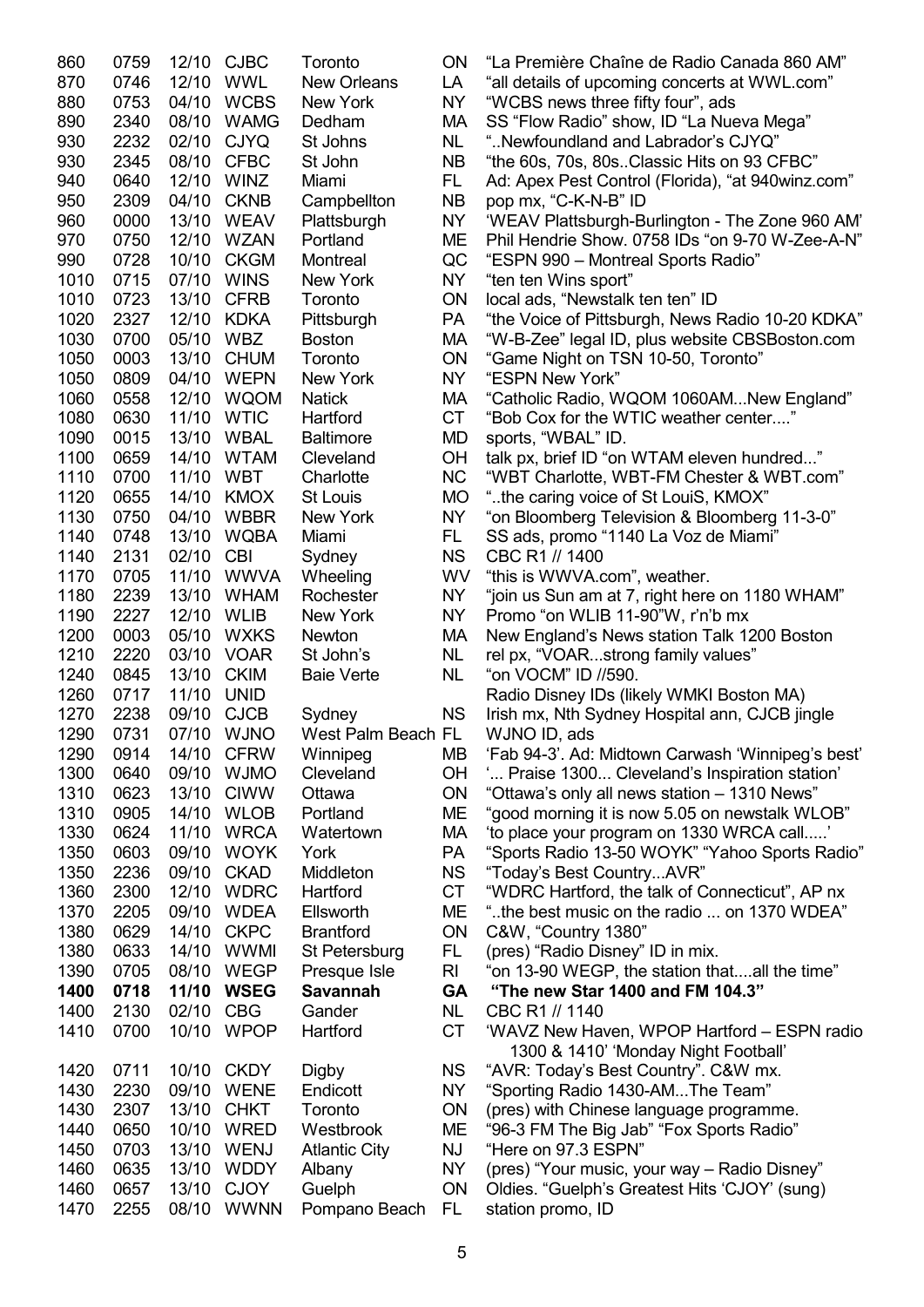| 860          | 0759         | 12/10 CJBC     |                            | Toronto                  | ON              | "La Première Chaîne de Radio Canada 860 AM"                        |
|--------------|--------------|----------------|----------------------------|--------------------------|-----------------|--------------------------------------------------------------------|
| 870          | 0746         | 12/10 WWL      |                            | <b>New Orleans</b>       | LA              | "all details of upcoming concerts at WWL.com"                      |
| 880          | 0753         |                | 04/10 WCBS                 | New York                 | <b>NY</b>       | "WCBS news three fifty four", ads                                  |
| 890          | 2340         | 08/10          | <b>WAMG</b>                | Dedham                   | МA              | SS "Flow Radio" show, ID "La Nueva Mega"                           |
| 930          | 2232         | 02/10          | <b>CJYQ</b>                | St Johns                 | <b>NL</b>       | "Newfoundland and Labrador's CJYQ"                                 |
| 930          | 2345         | 08/10          | <b>CFBC</b>                | St John                  | <b>NB</b>       | "the 60s, 70s, 80sClassic Hits on 93 CFBC"                         |
| 940          | 0640         | 12/10 WINZ     |                            | Miami                    | FL.             | Ad: Apex Pest Control (Florida), "at 940winz.com"                  |
| 950          | 2309         | 04/10 CKNB     |                            | Campbellton              | <b>NB</b>       | pop mx, "C-K-N-B" ID                                               |
| 960          | 0000         |                | 13/10 WEAV                 | Plattsburgh              | <b>NY</b>       | 'WEAV Plattsburgh-Burlington - The Zone 960 AM'                    |
| 970          | 0750         |                | 12/10 WZAN                 | Portland                 | ME              | Phil Hendrie Show. 0758 IDs "on 9-70 W-Zee-A-N"                    |
|              |              |                | <b>CKGM</b>                |                          |                 |                                                                    |
| 990          | 0728         | 10/10          |                            | Montreal                 | QC              | "ESPN 990 - Montreal Sports Radio"                                 |
| 1010         | 0715         | 07/10          | <b>WINS</b>                | New York                 | <b>NY</b>       | "ten ten Wins sport"                                               |
| 1010         | 0723         | 13/10          | <b>CFRB</b>                | Toronto                  | <b>ON</b>       | local ads, "Newstalk ten ten" ID                                   |
| 1020         | 2327         | 12/10          | <b>KDKA</b>                | Pittsburgh               | <b>PA</b>       | "the Voice of Pittsburgh, News Radio 10-20 KDKA"                   |
| 1030         | 0700         | 05/10          | <b>WBZ</b>                 | <b>Boston</b>            | MA              | "W-B-Zee" legal ID, plus website CBSBoston.com                     |
| 1050         | 0003         | 13/10          | <b>CHUM</b>                | Toronto                  | <b>ON</b>       | "Game Night on TSN 10-50, Toronto"                                 |
| 1050         | 0809         |                | 04/10 WEPN                 | New York                 | <b>NY</b>       | "ESPN New York"                                                    |
| 1060         | 0558         |                | 12/10 WQOM                 | <b>Natick</b>            | MA              | "Catholic Radio, WQOM 1060AMNew England"                           |
| 1080         | 0630         | 11/10 WTIC     |                            | Hartford                 | <b>CT</b>       | "Bob Cox for the WTIC weather center"                              |
| 1090         | 0015         |                | 13/10 WBAL                 | <b>Baltimore</b>         | <b>MD</b>       | sports, "WBAL" ID.                                                 |
| 1100         | 0659         | 14/10          | <b>WTAM</b>                | Cleveland                | <b>OH</b>       | talk px, brief ID "on WTAM eleven hundred"                         |
| 1110         | 0700         | 11/10          | <b>WBT</b>                 | Charlotte                | <b>NC</b>       | "WBT Charlotte, WBT-FM Chester & WBT.com"                          |
| 1120         | 0655         | 14/10          | <b>KMOX</b>                | St Louis                 | <b>MO</b>       | "the caring voice of St LouiS, KMOX"                               |
| 1130         | 0750         | 04/10          | <b>WBBR</b>                | New York                 | <b>NY</b>       | "on Bloomberg Television & Bloomberg 11-3-0"                       |
| 1140         | 0748         |                | 13/10 WQBA                 | Miami                    | FL.             | SS ads, promo "1140 La Voz de Miami"                               |
| 1140         | 2131         | 02/10          | <b>CBI</b>                 | Sydney                   | <b>NS</b>       | CBC R1 // 1400                                                     |
| 1170         | 0705         |                | 11/10 WWVA                 | Wheeling                 | <b>WV</b>       | "this is WWVA.com", weather.                                       |
| 1180         | 2239         | 13/10          | <b>WHAM</b>                | Rochester                | <b>NY</b>       | "join us Sun am at 7, right here on 1180 WHAM"                     |
| 1190         | 2227         | 12/10          | <b>WLIB</b>                | New York                 | <b>NY</b>       | Promo "on WLIB 11-90"W, r'n'b mx                                   |
| 1200         | 0003         | 05/10          | <b>WXKS</b>                | Newton                   | МA              | New England's News station Talk 1200 Boston                        |
| 1210         | 2220         | 03/10          | <b>VOAR</b>                | St John's                | <b>NL</b>       |                                                                    |
|              |              |                |                            |                          |                 | rel px, "VOARstrong family values"                                 |
| 1240         | 0845         | 13/10          | <b>CKIM</b>                | <b>Baie Verte</b>        | <b>NL</b>       | "on VOCM" ID //590.                                                |
| 1260         | 0717         | 11/10          | <b>UNID</b>                |                          |                 | Radio Disney IDs (likely WMKI Boston MA)                           |
| 1270         | 2238         | 09/10 CJCB     |                            | Sydney                   | <b>NS</b>       | Irish mx, Nth Sydney Hospital ann, CJCB jingle                     |
| 1290         | 0731         |                | 07/10 WJNO                 | West Palm Beach FL       |                 | WJNO ID, ads                                                       |
| 1290         | 0914         |                | 14/10 CFRW                 | Winnipeg                 | <b>MB</b>       | 'Fab 94-3'. Ad: Midtown Carwash 'Winnipeg's best'                  |
| 1300         | 0640         | 09/10          | <b>WJMO</b>                | Cleveland                | OН              | " Praise 1300 Cleveland's Inspiration station"                     |
| 1310         | 0623         | 13/10          | <b>CIWW</b>                | Ottawa                   | <b>ON</b>       | "Ottawa's only all news station - 1310 News"                       |
| 1310         | 0905         | 14/10          | <b>WLOB</b>                | Portland                 | <b>ME</b>       | "good morning it is now 5.05 on newstalk WLOB"                     |
| 1330         | 0624         | 11/10          | <b>WRCA</b>                | Watertown                | МA              | 'to place your program on 1330 WRCA call'                          |
| 1350         | 0603         | 09/10          | <b>WOYK</b>                | York                     | <b>PA</b>       | "Sports Radio 13-50 WOYK" "Yahoo Sports Radio"                     |
| 1350         | 2236         | 09/10          | <b>CKAD</b>                | Middleton                | <b>NS</b>       | "Today's Best CountryAVR"                                          |
| 1360         | 2300         | 12/10          | <b>WDRC</b>                | Hartford                 | <b>CT</b>       | "WDRC Hartford, the talk of Connecticut", AP nx                    |
| 1370         | 2205         | 09/10          | <b>WDEA</b>                | Ellsworth                | ME              | "the best music on the radio  on 1370 WDEA"                        |
| 1380         | 0629         | 14/10          | <b>CKPC</b>                | <b>Brantford</b>         | ON              | C&W, "Country 1380"                                                |
| 1380         | 0633         | 14/10          | <b>WWMI</b>                | St Petersburg            | FL.             | (pres) "Radio Disney" ID in mix.                                   |
| 1390         | 0705         | 08/10          | <b>WEGP</b>                | Presque Isle             | RI              | "on 13-90 WEGP, the station thatall the time"                      |
| 1400         | 0718         | 11/10          | <b>WSEG</b>                | <b>Savannah</b>          | <b>GA</b>       | "The new Star 1400 and FM 104.3"                                   |
| 1400         | 2130         | 02/10          | <b>CBG</b>                 | Gander                   | <b>NL</b>       | CBC R1 // 1140                                                     |
| 1410         | 0700         | 10/10          | <b>WPOP</b>                | Hartford                 | <b>CT</b>       | 'WAVZ New Haven, WPOP Hartford - ESPN radio                        |
|              |              |                |                            |                          |                 | 1300 & 1410' 'Monday Night Football'                               |
| 1420         | 0711         |                | 10/10 CKDY                 |                          | <b>NS</b>       |                                                                    |
| 1430         |              | 09/10          | <b>WENE</b>                | <b>Digby</b><br>Endicott |                 | "AVR: Today's Best Country". C&W mx.                               |
|              | 2230         |                |                            |                          | <b>NY</b>       | "Sporting Radio 1430-AMThe Team"                                   |
| 1430         | 2307         | 13/10          | <b>CHKT</b>                | Toronto                  | <b>ON</b>       | (pres) with Chinese language programme.                            |
| 1440         | 0650         | 10/10          | <b>WRED</b>                | Westbrook                | ME              | "96-3 FM The Big Jab" "Fox Sports Radio"                           |
| 1450         | 0703         | 13/10          | <b>WENJ</b>                | <b>Atlantic City</b>     | <b>NJ</b>       | "Here on 97.3 ESPN"                                                |
| 1460         | 0635         | 13/10          | <b>WDDY</b>                | Albany                   | <b>NY</b>       | (pres) "Your music, your way - Radio Disney"                       |
|              |              |                |                            |                          |                 |                                                                    |
| 1460<br>1470 | 0657<br>2255 | 13/10<br>08/10 | <b>CJOY</b><br><b>WWNN</b> | Guelph<br>Pompano Beach  | <b>ON</b><br>FL | Oldies. "Guelph's Greatest Hits 'CJOY' (sung)<br>station promo, ID |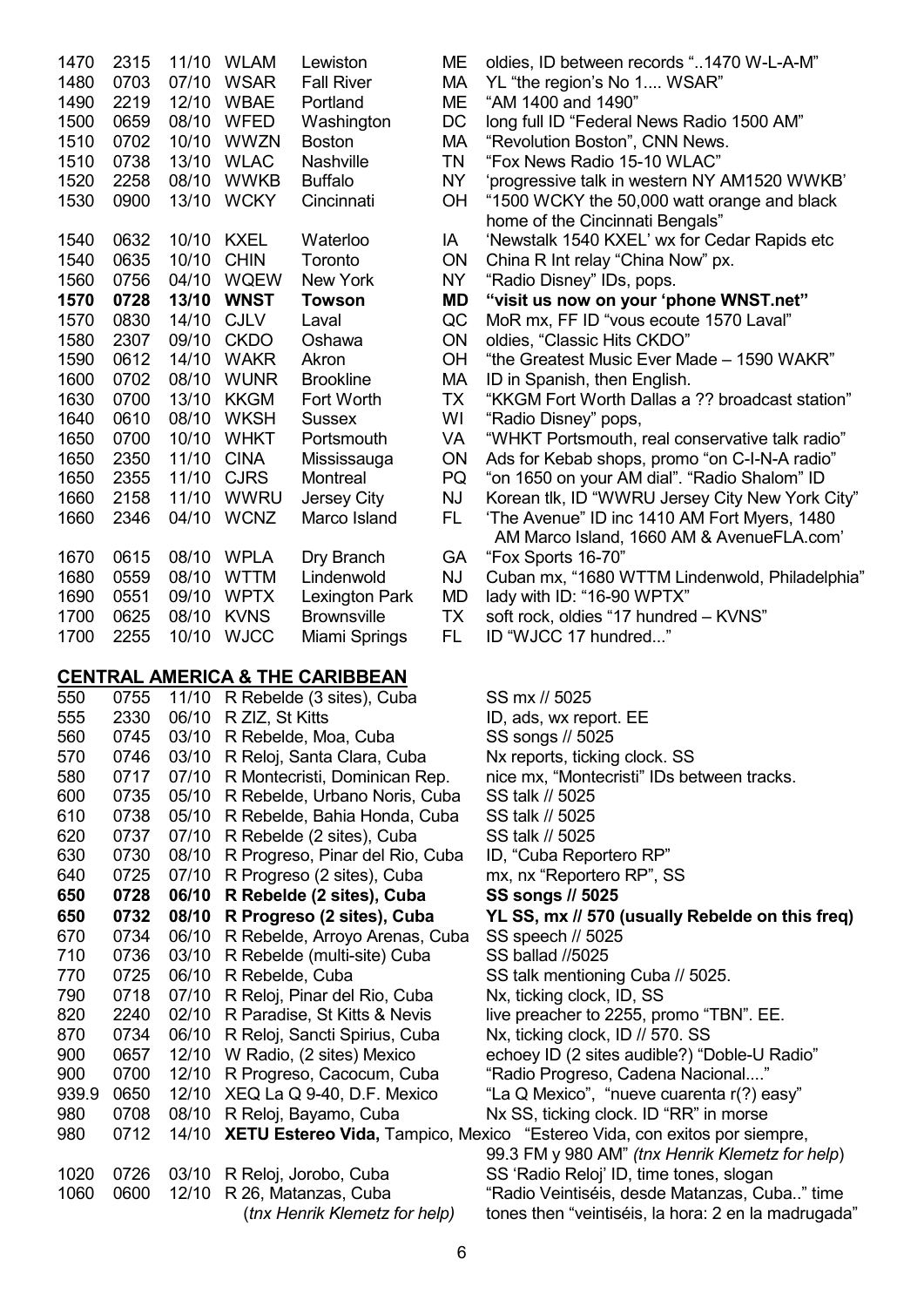| 1470 | 2315 | 11/10 | <b>WLAM</b> | Lewiston           |
|------|------|-------|-------------|--------------------|
| 1480 | 0703 | 07/10 | <b>WSAR</b> | <b>Fall River</b>  |
| 1490 | 2219 | 12/10 | <b>WBAE</b> | Portland           |
| 1500 | 0659 | 08/10 | <b>WFED</b> | Washington         |
| 1510 | 0702 | 10/10 | <b>WWZN</b> | <b>Boston</b>      |
| 1510 | 0738 | 13/10 | <b>WLAC</b> | <b>Nashville</b>   |
| 1520 | 2258 | 08/10 | WWKB        | <b>Buffalo</b>     |
| 1530 | 0900 | 13/10 | <b>WCKY</b> | Cincinnati         |
| 1540 | 0632 | 10/10 | <b>KXEL</b> | Waterloo           |
| 1540 | 0635 | 10/10 | <b>CHIN</b> | Toronto            |
| 1560 | 0756 | 04/10 | <b>WQEW</b> | <b>New York</b>    |
| 1570 | 0728 | 13/10 | <b>WNST</b> | Towson             |
| 1570 | 0830 | 14/10 | <b>CJLV</b> | Laval              |
| 1580 | 2307 | 09/10 | <b>CKDO</b> | Oshawa             |
| 1590 | 0612 | 14/10 | <b>WAKR</b> | Akron              |
| 1600 | 0702 | 08/10 | WUNR        | <b>Brookline</b>   |
| 1630 | 0700 | 13/10 | <b>KKGM</b> | Fort Worth         |
| 1640 | 0610 | 08/10 | WKSH        | <b>Sussex</b>      |
| 1650 | 0700 | 10/10 | WHKT        | Portsmouth         |
| 1650 | 2350 | 11/10 | <b>CINA</b> | Mississauga        |
| 1650 | 2355 | 11/10 | <b>CJRS</b> | Montreal           |
| 1660 | 2158 | 11/10 | WWRU        | Jersey City        |
| 1660 | 2346 | 04/10 | <b>WCNZ</b> | Marco Island       |
| 1670 | 0615 | 08/10 | <b>WPLA</b> | Dry Branch         |
| 1680 | 0559 | 08/10 | <b>WTTM</b> | Lindenwold         |
| 1690 | 0551 | 09/10 | <b>WPTX</b> | Lexington Park     |
| 1700 | 0625 | 08/10 | <b>KVNS</b> | <b>Brownsville</b> |
| 1700 | 2255 | 10/10 | <b>WJCC</b> | Miami Springs      |

#### **CENTRAL AMERICA & THE CARIBBEAN**

| 550   | 0755 | 11/10 | R Rebelde (3 sites), Cuba          | SS        |
|-------|------|-------|------------------------------------|-----------|
| 555   | 2330 | 06/10 | R ZIZ, St Kitts                    | ID,       |
| 560   | 0745 | 03/10 | R Rebelde, Moa, Cuba               | SS        |
| 570   | 0746 | 03/10 | R Reloj, Santa Clara, Cuba         | Nx        |
| 580   | 0717 | 07/10 | R Montecristi, Dominican Rep.      | nic       |
| 600   | 0735 | 05/10 | R Rebelde, Urbano Noris, Cuba      | SS        |
| 610   | 0738 | 05/10 | R Rebelde, Bahia Honda, Cuba       | SS        |
| 620   | 0737 | 07/10 | R Rebelde (2 sites), Cuba          | SS        |
| 630   | 0730 | 08/10 | R Progreso, Pinar del Rio, Cuba    | ID,       |
| 640   | 0725 | 07/10 | R Progreso (2 sites), Cuba         | mx        |
| 650   | 0728 | 06/10 | R Rebelde (2 sites), Cuba          | SS        |
| 650   | 0732 | 08/10 | R Progreso (2 sites), Cuba         | YL        |
| 670   | 0734 | 06/10 | R Rebelde, Arroyo Arenas, Cuba     | SS        |
| 710   | 0736 | 03/10 | R Rebelde (multi-site) Cuba        | SS        |
| 770   | 0725 | 06/10 | R Rebelde, Cuba                    | SS        |
| 790   | 0718 | 07/10 | R Reloj, Pinar del Rio, Cuba       | Nx        |
| 820   | 2240 | 02/10 | R Paradise, St Kitts & Nevis       | live      |
| 870   | 0734 | 06/10 | R Reloj, Sancti Spirius, Cuba      | Nx        |
| 900   | 0657 | 12/10 | W Radio, (2 sites) Mexico          | ecl       |
| 900   | 0700 | 12/10 | R Progreso, Cacocum, Cuba          | "Ra       |
| 939.9 | 0650 | 12/10 | XEQ La Q 9-40, D.F. Mexico         | "La       |
| 980   | 0708 | 08/10 | R Reloj, Bayamo, Cuba              | <b>Nx</b> |
| 980   | 0712 | 14/10 | XETU Estereo Vida, Tampico, Mexico |           |
|       |      |       |                                    | 99.       |
| 1020  | 0726 | 03/10 | R Reloj, Jorobo, Cuba              | SS        |
| 1060  | 0600 | 12/10 | R 26, Matanzas, Cuba               | "Ra       |
|       |      |       | (tnx Henrik Klemetz for help)      | tor       |
|       |      |       |                                    |           |

- ME oldies, ID between records "..1470 W-L-A-M"
- MA YL "the region's No 1.... WSAR"
- ME "AM 1400 and 1490"
- DC long full ID "Federal News Radio 1500 AM"
- MA "Revolution Boston", CNN News.
- TN "Fox News Radio 15-10 WLAC"
- NY 'progressive talk in western NY AM1520 WWKB'
- OH "1500 WCKY the 50,000 watt orange and black home of the Cincinnati Bengals"
- 1A Wewstalk 1540 KXEL' wx for Cedar Rapids etc
- ON China R Int relay "China Now" px.
- NY "Radio Disney" IDs, pops.
- **1570 0728 13/10 WNST Towson MD "visit us now on your 'phone WNST.net"**
- QC MoR mx, FF ID "vous ecoute 1570 Laval"
- 1580 2307 09/10 CKDO Oshawa ON oldies, "Classic Hits CKDO"
- OH "the Greatest Music Ever Made 1590 WAKR"
- MA ID in Spanish, then English.
- TX "KKGM Fort Worth Dallas a ?? broadcast station"
- WI "Radio Disney" pops,
- VA "WHKT Portsmouth, real conservative talk radio"
- ON Ads for Kebab shops, promo "on C-I-N-A radio"
- PQ "on 1650 on your AM dial". "Radio Shalom" ID
- NJ Korean tlk, ID "WWRU Jersey City New York City" FL The Avenue" ID inc 1410 AM Fort Myers, 1480
- AM Marco Island, 1660 AM & AvenueFLA.com' GA "Fox Sports 16-70"
- NJ Cuban mx, "1680 WTTM Lindenwold, Philadelphia"
- $MD$  lady with ID: "16-90 WPTX"
- TX soft rock, oldies "17 hundred KVNS"
- FL ID "WJCC 17 hundred..."

mx // 5025 ads, wx report. EE songs // 5025 reports, ticking clock. SS e mx, "Montecristi" IDs between tracks. talk // 5025 talk // 5025 talk // 5025 "Cuba Reportero RP" 6. nx "Reportero RP", SS **650 0728 06/10 R Rebelde (2 sites), Cuba SS songs // 5025 650 0732 08/10 R Progreso (2 sites), Cuba YL SS, mx // 570 (usually Rebelde on this freq)**  speech // 5025 ballad //5025 talk mentioning Cuba // 5025. ticking clock, ID, SS, 8 preacher to 2255, promo "TBN", EE. . ticking clock, ID // 570. SS 10ey ID (2 sites audible?) "Doble-U Radio" adio Progreso, Cadena Nacional...." 939.9 30 Mexico", "nueve cuarenta r(?) easy SS, ticking clock. ID "RR" in morse **980 °Estereo Vida, con exitos por siempre,** 

 99.3 FM y 980 AM" *(tnx Henrik Klemetz for help*) 'Radio Reloj' ID, time tones, slogan adio Veintiséis, desde Matanzas, Cuba.." time (*tnx Henrik Klemetz for help)* tones then "veintiséis, la hora: 2 en la madrugada"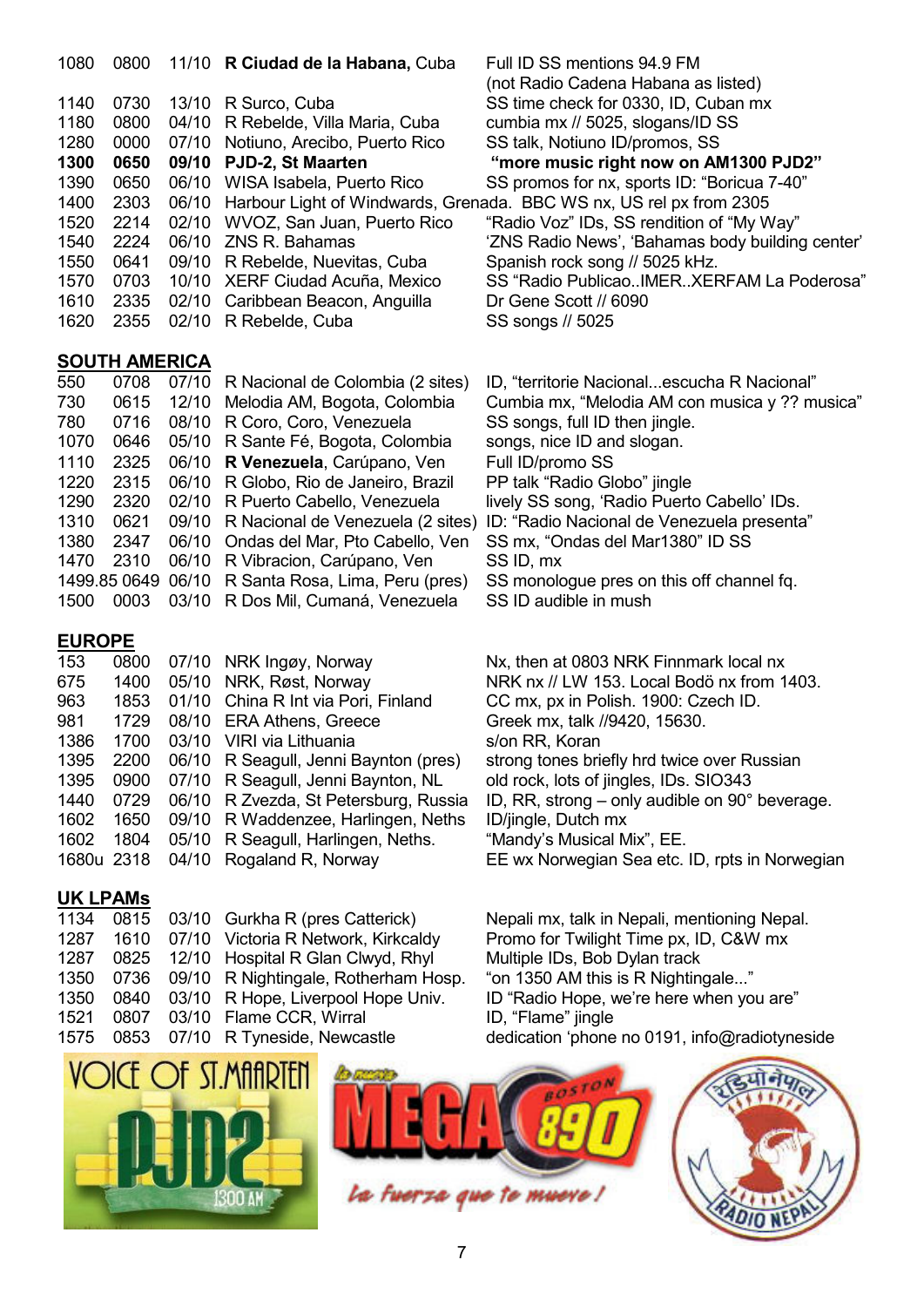| 1080 | 0800                 |       | 11/10 R Ciudad de la Habana, Cuba  | Full ID SS mentions 94.9 FM                                               |
|------|----------------------|-------|------------------------------------|---------------------------------------------------------------------------|
|      |                      |       |                                    | (not Radio Cadena Habana as listed)                                       |
| 1140 | 0730                 |       | 13/10 R Surco, Cuba                | SS time check for 0330, ID, Cuban mx                                      |
| 1180 | 0800                 |       | 04/10 R Rebelde, Villa Maria, Cuba | cumbia mx // 5025, slogans/ID SS                                          |
| 1280 | 0000                 | 07/10 | Notiuno, Arecibo, Puerto Rico      | SS talk, Notiuno ID/promos, SS                                            |
| 1300 | 0650                 |       | 09/10 PJD-2, St Maarten            | "more music right now on AM1300 PJD2"                                     |
| 1390 | 0650                 | 06/10 | WISA Isabela, Puerto Rico          | SS promos for nx, sports ID: "Boricua 7-40"                               |
| 1400 | 2303                 |       |                                    | 06/10 Harbour Light of Windwards, Grenada. BBC WS nx, US rel px from 2305 |
| 1520 | 2214                 | 02/10 | WVOZ, San Juan, Puerto Rico        | "Radio Voz" IDs, SS rendition of "My Way"                                 |
| 1540 | 2224                 | 06/10 | ZNS R. Bahamas                     | 'ZNS Radio News', 'Bahamas body building center'                          |
| 1550 | 0641                 | 09/10 | R Rebelde, Nuevitas, Cuba          | Spanish rock song // 5025 kHz.                                            |
| 1570 | 0703                 |       | 10/10 XERF Ciudad Acuña, Mexico    | SS "Radio PublicaoIMERXERFAM La Poderosa"                                 |
| 1610 | 2335                 |       | 02/10 Caribbean Beacon, Anguilla   | Dr Gene Scott // 6090                                                     |
| 1620 | 2355                 |       | 02/10 R Rebelde, Cuba              | SS songs // 5025                                                          |
|      |                      |       |                                    |                                                                           |
|      | <b>SOUTH AMERICA</b> |       |                                    |                                                                           |
| 550  | 0708                 | 07/10 | R Nacional de Colombia (2 sites)   | ID, "territorie Nacionalescucha R Nacional"                               |
| ר?ת  | <b>0615</b>          |       | 12/10 Melodia AM Rogota Colombia   | Cumbia my "Malodia AM con musica y 22 musica"                             |

| 550       |      | 0708 07/10 R Nacional de Colombia (2 sites)        | ID, "territorie Nacionalescucha R Nacional"                                        |
|-----------|------|----------------------------------------------------|------------------------------------------------------------------------------------|
| 730       |      | 0615 12/10 Melodia AM, Bogota, Colombia            | Cumbia mx, "Melodia AM con musica y ?? musica"                                     |
| 780       | 0716 | 08/10 R Coro, Coro, Venezuela                      | SS songs, full ID then jingle.                                                     |
| 1070      | 0646 | 05/10 R Sante Fé, Bogota, Colombia                 | songs, nice ID and slogan.                                                         |
| 1110      |      | 2325 06/10 R Venezuela, Carúpano, Ven              | Full ID/promo SS                                                                   |
| 1220      |      | 2315 06/10 R Globo, Rio de Janeiro, Brazil         | PP talk "Radio Globo" jingle                                                       |
| 1290      | 2320 | 02/10 R Puerto Cabello, Venezuela                  | lively SS song, 'Radio Puerto Cabello' IDs.                                        |
| 1310      | 0621 |                                                    | 09/10 R Nacional de Venezuela (2 sites) ID: "Radio Nacional de Venezuela presenta" |
| 1380      | 2347 | 06/10 Ondas del Mar, Pto Cabello, Ven              | SS mx, "Ondas del Mar1380" ID SS                                                   |
| 1470 2310 |      | 06/10 R Vibracion, Carúpano, Ven                   | SS ID, mx                                                                          |
|           |      | 1499.85 0649 06/10 R Santa Rosa, Lima, Peru (pres) | SS monologue pres on this off channel fq.                                          |
|           |      | 1500 0003 03/10 R Dos Mil, Cumaná, Venezuela       | SS ID audible in mush                                                              |
|           |      |                                                    |                                                                                    |

# **EUROPE**

| 153  | 0800 | 07/10 NRK Ingøy, Norway                    | Nx, then at 0803 NRK Finnmark local nx                     |
|------|------|--------------------------------------------|------------------------------------------------------------|
| 675  | 1400 | 05/10 NRK, Røst, Norway                    | NRK nx // LW 153. Local Bodö nx from 1403.                 |
| 963  | 1853 | 01/10 China R Int via Pori, Finland        | CC mx, px in Polish. 1900: Czech ID.                       |
| 981  | 1729 | 08/10 ERA Athens, Greece                   | Greek mx, talk //9420, 15630.                              |
| 1386 | 1700 | 03/10 VIRI via Lithuania                   | s/on RR, Koran                                             |
| 1395 | 2200 | 06/10 R Seagull, Jenni Baynton (pres)      | strong tones briefly hrd twice over Russian                |
| 1395 |      | 0900 07/10 R Seagull, Jenni Baynton, NL    | old rock, lots of jingles, IDs. SIO343                     |
| 1440 |      | 0729 06/10 R Zvezda, St Petersburg, Russia | ID, RR, strong $-$ only audible on 90 $^{\circ}$ beverage. |
| 1602 | 1650 | 09/10 R Waddenzee, Harlingen, Neths        | ID/jingle, Dutch mx                                        |
| 1602 |      | 1804 05/10 R Seagull, Harlingen, Neths.    | "Mandy's Musical Mix", EE.                                 |
|      |      | 1680u 2318 04/10 Rogaland R, Norway        | EE wx Norwegian Sea etc. ID, rpts in Norwegia              |
|      |      |                                            |                                                            |

# **UK LPAMs**

|      |  | 1134 0815 03/10 Gurkha R (pres Catterick)      |
|------|--|------------------------------------------------|
|      |  | 1287 1610 07/10 Victoria R Network, Kirkcaldy  |
|      |  | 1287 0825 12/10 Hospital R Glan Clwyd, Rhyl    |
|      |  | 1350 0736 09/10 R Nightingale, Rotherham Hosp. |
|      |  | 1350 0840 03/10 R Hope, Liverpool Hope Univ.   |
| 1521 |  | 0807 03/10 Flame CCR, Wirral                   |
|      |  | 1575 0853 07/10 R Tyneside, Newcastle          |
|      |  |                                                |

Nepali mx, talk in Nepali, mentioning Nepal. Promo for Twilight Time px, ID, C&W mx Multiple IDs, Bob Dylan track "on 1350 AM this is R Nightingale..." ID "Radio Hope, we're here when you are" ID, "Flame" jingle 1575 0853 07/10 R Tyneside, Newcastle dedication 'phone no 0191, info@radiotyneside







ID, rpts in Norwegian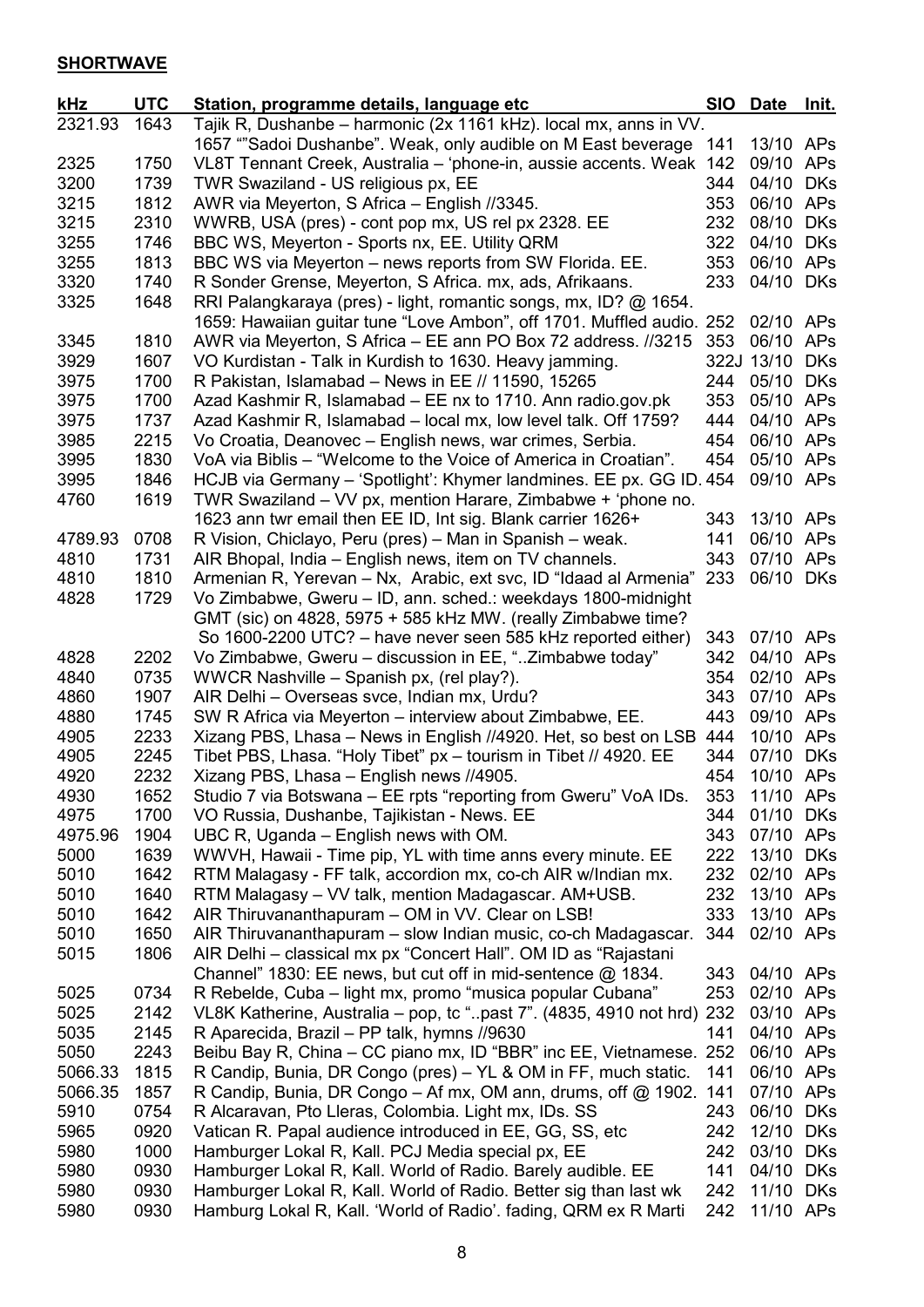# **SHORTWAVE**

| kHz          | <b>UTC</b>   | Station, programme details, language etc                                                                                         | <b>SIO</b> | <b>Date</b>            | <u>Init.</u> |
|--------------|--------------|----------------------------------------------------------------------------------------------------------------------------------|------------|------------------------|--------------|
| 2321.93      | 1643         | Tajik R, Dushanbe - harmonic (2x 1161 kHz). local mx, anns in VV.                                                                |            |                        |              |
|              |              | 1657 ""Sadoi Dushanbe". Weak, only audible on M East beverage                                                                    | 141        | 13/10 APs              |              |
| 2325         | 1750         | VL8T Tennant Creek, Australia - 'phone-in, aussie accents. Weak                                                                  | 142        | 09/10                  | APs          |
| 3200         | 1739         | TWR Swaziland - US religious px, EE                                                                                              | 344        | 04/10                  | DKs          |
| 3215         | 1812         | AWR via Meyerton, S Africa - English //3345.                                                                                     | 353        | 06/10 APs              |              |
| 3215         | 2310         | WWRB, USA (pres) - cont pop mx, US rel px 2328. EE                                                                               | 232        | 08/10 DKs              |              |
| 3255         | 1746         | BBC WS, Meyerton - Sports nx, EE. Utility QRM                                                                                    | 322        | 04/10                  | <b>DKs</b>   |
| 3255         | 1813         | BBC WS via Meyerton – news reports from SW Florida. EE.                                                                          | 353        | 06/10 APs              |              |
| 3320         | 1740         | R Sonder Grense, Meyerton, S Africa. mx, ads, Afrikaans.                                                                         | 233        | 04/10 DKs              |              |
| 3325         | 1648         | RRI Palangkaraya (pres) - light, romantic songs, mx, ID? @ 1654.                                                                 |            |                        |              |
|              |              | 1659: Hawaiian guitar tune "Love Ambon", off 1701. Muffled audio.                                                                | 252        | 02/10 APs              |              |
| 3345         | 1810         | AWR via Meyerton, S Africa - EE ann PO Box 72 address. //3215                                                                    | 353        | 06/10                  | APs          |
| 3929         | 1607         | VO Kurdistan - Talk in Kurdish to 1630. Heavy jamming.                                                                           |            | 322J 13/10             | <b>DKs</b>   |
| 3975         | 1700         | R Pakistan, Islamabad - News in EE // 11590, 15265                                                                               | 244        | 05/10                  | <b>DKs</b>   |
| 3975         | 1700         | Azad Kashmir R, Islamabad – EE nx to 1710. Ann radio.gov.pk                                                                      | 353        | 05/10 APs              |              |
| 3975         | 1737         | Azad Kashmir R, Islamabad - local mx, low level talk. Off 1759?                                                                  | 444        | 04/10 APs              |              |
| 3985         | 2215         | Vo Croatia, Deanovec - English news, war crimes, Serbia.                                                                         | 454        | 06/10 APs              |              |
| 3995         | 1830         | VoA via Biblis - "Welcome to the Voice of America in Croatian".                                                                  | 454        | 05/10 APs              |              |
| 3995         | 1846         | HCJB via Germany - 'Spotlight': Khymer landmines. EE px. GG ID. 454                                                              |            | 09/10 APs              |              |
| 4760         | 1619         | TWR Swaziland - VV px, mention Harare, Zimbabwe + 'phone no.                                                                     |            |                        |              |
|              |              | 1623 ann twr email then EE ID, Int sig. Blank carrier 1626+                                                                      | 343        | 13/10 APs              |              |
| 4789.93      | 0708         | R Vision, Chiclayo, Peru (pres) – Man in Spanish – weak.                                                                         | 141        | 06/10 APs              |              |
| 4810         | 1731         | AIR Bhopal, India – English news, item on TV channels.                                                                           | 343        | 07/10 APs              |              |
| 4810         | 1810         | Armenian R, Yerevan - Nx, Arabic, ext svc, ID "Idaad al Armenia"                                                                 | 233        | 06/10 DKs              |              |
| 4828         | 1729         | Vo Zimbabwe, Gweru - ID, ann. sched.: weekdays 1800-midnight                                                                     |            |                        |              |
|              |              | GMT (sic) on 4828, 5975 + 585 kHz MW. (really Zimbabwe time?                                                                     |            |                        |              |
|              |              | So 1600-2200 UTC? - have never seen 585 kHz reported either)                                                                     | 343        | 07/10 APs              |              |
| 4828         | 2202         | Vo Zimbabwe, Gweru - discussion in EE, "Zimbabwe today"                                                                          | 342        | 04/10 APs              |              |
| 4840         | 0735         | WWCR Nashville - Spanish px, (rel play?).                                                                                        | 354        | 02/10 APs              |              |
| 4860         | 1907         | AIR Delhi - Overseas svce, Indian mx, Urdu?                                                                                      | 343        | 07/10 APs              |              |
| 4880         | 1745         | SW R Africa via Meyerton - interview about Zimbabwe, EE.                                                                         | 443        | 09/10 APs              |              |
| 4905         | 2233         | Xizang PBS, Lhasa - News in English //4920. Het, so best on LSB                                                                  | 444        | 10/10 APs              |              |
| 4905         | 2245         | Tibet PBS, Lhasa. "Holy Tibet" px - tourism in Tibet // 4920. EE                                                                 | 344        | 07/10 DKs              |              |
| 4920         | 2232         | Xizang PBS, Lhasa - English news //4905.                                                                                         | 454        | 10/10 APs              |              |
| 4930         | 1652         | Studio 7 via Botswana - EE rpts "reporting from Gweru" VoA IDs.                                                                  | 353        | 11/10 APs              |              |
| 4975         | 1700         | VO Russia, Dushanbe, Tajikistan - News. EE                                                                                       | 344        | 01/10                  | DKs          |
| 4975.96      | 1904         | UBC R, Uganda – English news with OM.                                                                                            | 343        | 07/10 APs              |              |
| 5000         | 1639         | WWVH, Hawaii - Time pip, YL with time anns every minute. EE                                                                      | 222        | 13/10                  | DKs          |
| 5010         | 1642         | RTM Malagasy - FF talk, accordion mx, co-ch AIR w/Indian mx.                                                                     | 232        | 02/10 APs              |              |
| 5010<br>5010 | 1640<br>1642 | RTM Malagasy – VV talk, mention Madagascar. AM+USB.<br>AIR Thiruvananthapuram - OM in VV. Clear on LSB!                          | 232<br>333 | 13/10 APs              |              |
| 5010         | 1650         |                                                                                                                                  | 344        | 13/10 APs              |              |
| 5015         | 1806         | AIR Thiruvananthapuram – slow Indian music, co-ch Madagascar.<br>AIR Delhi - classical mx px "Concert Hall". OM ID as "Rajastani |            | 02/10 APs              |              |
|              |              |                                                                                                                                  |            | 04/10 APs              |              |
| 5025         | 0734         | Channel" 1830: EE news, but cut off in mid-sentence @ 1834.<br>R Rebelde, Cuba - light mx, promo "musica popular Cubana"         | 343<br>253 | 02/10 APs              |              |
| 5025         | 2142         |                                                                                                                                  |            |                        |              |
| 5035         | 2145         | VL8K Katherine, Australia – pop, tc "past 7". (4835, 4910 not hrd)                                                               | 232<br>141 | 03/10 APs<br>04/10 APs |              |
| 5050         | 2243         | R Aparecida, Brazil - PP talk, hymns //9630<br>Beibu Bay R, China - CC piano mx, ID "BBR" inc EE, Vietnamese. 252                |            | 06/10 APs              |              |
| 5066.33      | 1815         | R Candip, Bunia, DR Congo (pres) – YL & OM in FF, much static.                                                                   | 141        | 06/10 APs              |              |
| 5066.35      | 1857         |                                                                                                                                  | 141        |                        |              |
| 5910         | 0754         | R Candip, Bunia, DR Congo – Af mx, OM ann, drums, off @ 1902.<br>R Alcaravan, Pto Lleras, Colombia. Light mx, IDs. SS            | 243        | 07/10 APs<br>06/10     | <b>DKs</b>   |
| 5965         | 0920         | Vatican R. Papal audience introduced in EE, GG, SS, etc                                                                          | 242        | 12/10                  | <b>DKs</b>   |
| 5980         | 1000         | Hamburger Lokal R, Kall. PCJ Media special px, EE                                                                                | 242        | 03/10                  | <b>DKs</b>   |
| 5980         | 0930         | Hamburger Lokal R, Kall. World of Radio. Barely audible. EE                                                                      | 141        | 04/10                  | <b>DKs</b>   |
| 5980         | 0930         | Hamburger Lokal R, Kall. World of Radio. Better sig than last wk                                                                 | 242        | 11/10                  | <b>DKs</b>   |
| 5980         | 0930         | Hamburg Lokal R, Kall. 'World of Radio'. fading, QRM ex R Marti                                                                  | 242        | 11/10 APs              |              |
|              |              |                                                                                                                                  |            |                        |              |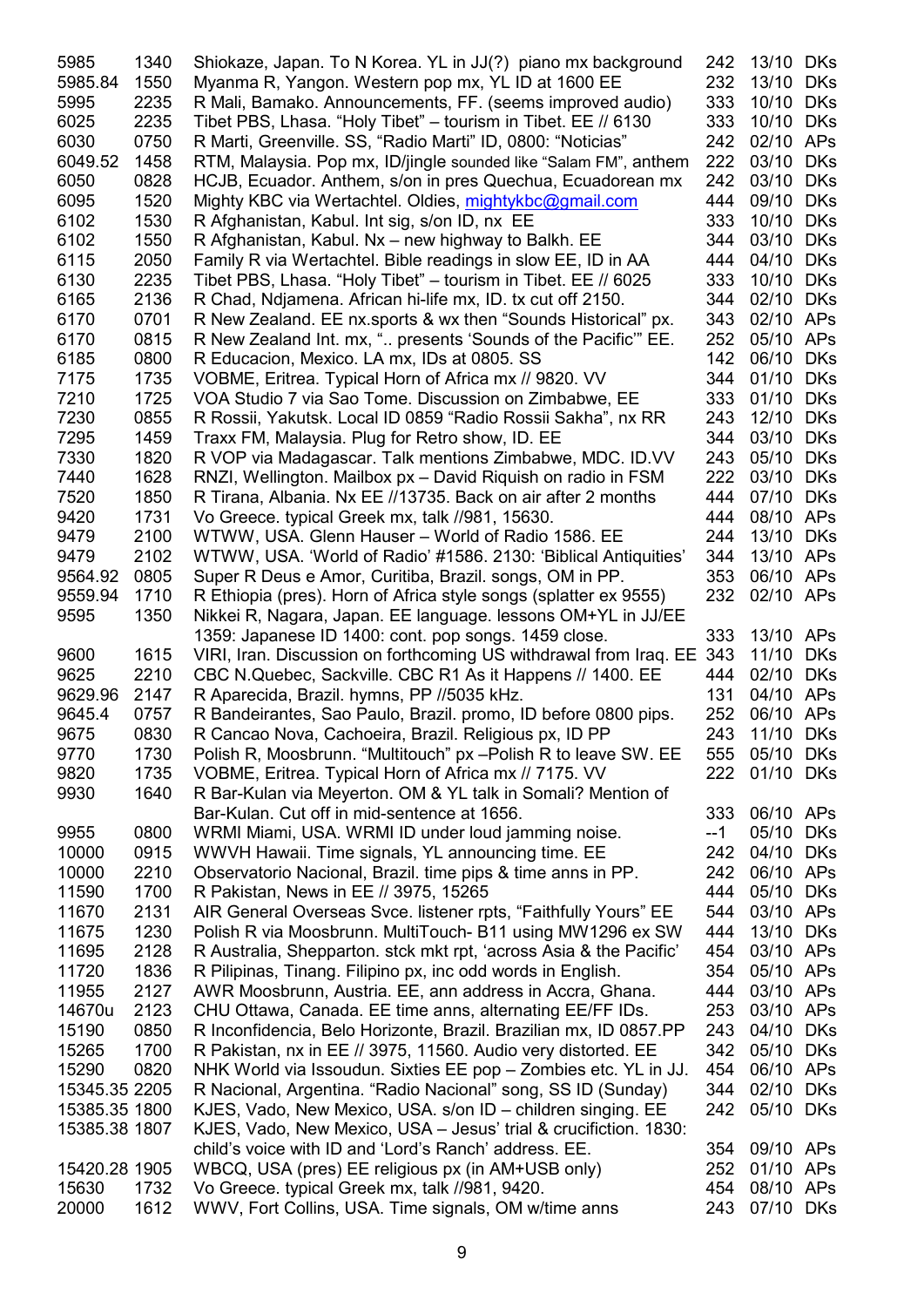| 5985            | 1340         | Shiokaze, Japan. To N Korea. YL in JJ(?) piano mx background                                                          | 242        | 13/10          | <b>DKs</b>        |
|-----------------|--------------|-----------------------------------------------------------------------------------------------------------------------|------------|----------------|-------------------|
| 5985.84         | 1550         | Myanma R, Yangon. Western pop mx, YL ID at 1600 EE                                                                    | 232        | 13/10          | <b>DKs</b>        |
| 5995            | 2235         | R Mali, Bamako. Announcements, FF. (seems improved audio)                                                             | 333        | 10/10          | <b>DKs</b>        |
| 6025            | 2235         | Tibet PBS, Lhasa. "Holy Tibet" - tourism in Tibet. EE // 6130                                                         | 333        | 10/10          | <b>DKs</b>        |
| 6030            | 0750         | R Marti, Greenville. SS, "Radio Marti" ID, 0800: "Noticias"                                                           | 242        | 02/10          | <b>APs</b>        |
| 6049.52         | 1458         | RTM, Malaysia. Pop mx, ID/jingle sounded like "Salam FM", anthem                                                      | 222        | 03/10          | <b>DKs</b>        |
| 6050            | 0828         | HCJB, Ecuador. Anthem, s/on in pres Quechua, Ecuadorean mx                                                            | 242        | 03/10          | <b>DKs</b>        |
| 6095            | 1520         | Mighty KBC via Wertachtel. Oldies, mightykbc@gmail.com                                                                | 444        | 09/10          | <b>DKs</b>        |
| 6102            | 1530         | R Afghanistan, Kabul. Int sig, s/on ID, nx EE                                                                         | 333        | 10/10          | <b>DKs</b>        |
| 6102            | 1550         | R Afghanistan, Kabul. Nx – new highway to Balkh. EE                                                                   | 344        | 03/10          | <b>DKs</b>        |
| 6115            | 2050         | Family R via Wertachtel. Bible readings in slow EE, ID in AA                                                          | 444        | 04/10          | <b>DKs</b>        |
| 6130            | 2235         | Tibet PBS, Lhasa. "Holy Tibet" - tourism in Tibet. EE // 6025                                                         | 333        | 10/10          | <b>DKs</b>        |
| 6165            | 2136         | R Chad, Ndjamena. African hi-life mx, ID. tx cut off 2150.                                                            | 344        | 02/10          | <b>DKs</b>        |
| 6170            | 0701         | R New Zealand. EE nx.sports & wx then "Sounds Historical" px.                                                         | 343        | 02/10          | APs               |
| 6170            | 0815         | R New Zealand Int. mx, " presents 'Sounds of the Pacific" EE.                                                         | 252        | 05/10          | APs               |
| 6185            | 0800         | R Educacion, Mexico. LA mx, IDs at 0805. SS                                                                           | 142        | 06/10          | <b>DKs</b>        |
| 7175            | 1735         | VOBME, Eritrea. Typical Horn of Africa mx // 9820. VV                                                                 | 344        | 01/10          | <b>DKs</b>        |
| 7210            | 1725         |                                                                                                                       | 333        | 01/10          | <b>DKs</b>        |
| 7230            | 0855         | VOA Studio 7 via Sao Tome. Discussion on Zimbabwe, EE<br>R Rossii, Yakutsk. Local ID 0859 "Radio Rossii Sakha", nx RR | 243        | 12/10          | <b>DKs</b>        |
| 7295            |              |                                                                                                                       |            |                |                   |
|                 | 1459         | Traxx FM, Malaysia. Plug for Retro show, ID. EE                                                                       | 344        | 03/10          | <b>DKs</b>        |
| 7330            | 1820         | R VOP via Madagascar. Talk mentions Zimbabwe, MDC. ID.VV                                                              | 243        | 05/10          | <b>DKs</b>        |
| 7440            | 1628         | RNZI, Wellington. Mailbox px - David Riquish on radio in FSM                                                          | 222        | 03/10          | <b>DKs</b>        |
| 7520            | 1850         | R Tirana, Albania. Nx EE //13735. Back on air after 2 months                                                          | 444        | 07/10          | <b>DKs</b>        |
| 9420            | 1731         | Vo Greece. typical Greek mx, talk //981, 15630.                                                                       | 444        | 08/10          | APs               |
| 9479            | 2100         | WTWW, USA. Glenn Hauser - World of Radio 1586. EE                                                                     | 244        | 13/10          | <b>DKs</b>        |
| 9479            | 2102         | WTWW, USA. 'World of Radio' #1586. 2130: 'Biblical Antiquities'                                                       | 344        | 13/10          | <b>APs</b>        |
| 9564.92         | 0805         | Super R Deus e Amor, Curitiba, Brazil. songs, OM in PP.                                                               | 353        | 06/10 APs      |                   |
| 9559.94         | 1710         | R Ethiopia (pres). Horn of Africa style songs (splatter ex 9555)                                                      | 232        | 02/10 APs      |                   |
| 9595            | 1350         | Nikkei R, Nagara, Japan. EE language. lessons OM+YL in JJ/EE                                                          |            |                |                   |
|                 |              | 1359: Japanese ID 1400: cont. pop songs. 1459 close.                                                                  | 333        | 13/10          | <b>APs</b>        |
| 9600            | 1615         | VIRI, Iran. Discussion on forthcoming US withdrawal from Iraq. EE                                                     | 343<br>444 | 11/10          | <b>DKs</b>        |
| 9625<br>9629.96 | 2210<br>2147 | CBC N.Quebec, Sackville. CBC R1 As it Happens // 1400. EE<br>R Aparecida, Brazil. hymns, PP //5035 kHz.               | 131        | 02/10<br>04/10 | <b>DKs</b><br>APs |
| 9645.4          | 0757         | R Bandeirantes, Sao Paulo, Brazil. promo, ID before 0800 pips.                                                        | 252        | 06/10          | APs               |
| 9675            | 0830         | R Cancao Nova, Cachoeira, Brazil. Religious px, ID PP                                                                 | 243        | 11/10 DKs      |                   |
| 9770            | 1730         | Polish R, Moosbrunn. "Multitouch" px - Polish R to leave SW. EE                                                       | 555        | 05/10 DKs      |                   |
| 9820            | 1735         | VOBME, Eritrea. Typical Horn of Africa mx // 7175. VV                                                                 | 222        | 01/10          | <b>DKs</b>        |
| 9930            | 1640         | R Bar-Kulan via Meyerton. OM & YL talk in Somali? Mention of                                                          |            |                |                   |
|                 |              | Bar-Kulan. Cut off in mid-sentence at 1656.                                                                           | 333        | 06/10 APs      |                   |
| 9955            | 0800         | WRMI Miami, USA. WRMI ID under loud jamming noise.                                                                    | --1        | 05/10          | <b>DKs</b>        |
| 10000           | 0915         | WWVH Hawaii. Time signals, YL announcing time. EE                                                                     | 242        | 04/10          | <b>DKs</b>        |
| 10000           | 2210         | Observatorio Nacional, Brazil. time pips & time anns in PP.                                                           | 242        | 06/10 APs      |                   |
| 11590           | 1700         | R Pakistan, News in EE // 3975, 15265                                                                                 | 444        | 05/10          | <b>DKs</b>        |
| 11670           | 2131         | AIR General Overseas Svce. listener rpts, "Faithfully Yours" EE                                                       | 544        | 03/10 APs      |                   |
| 11675           | 1230         | Polish R via Moosbrunn. MultiTouch- B11 using MW1296 ex SW                                                            | 444        | 13/10 DKs      |                   |
| 11695           | 2128         | R Australia, Shepparton. stck mkt rpt, 'across Asia & the Pacific'                                                    | 454        | 03/10 APs      |                   |
| 11720           | 1836         | R Pilipinas, Tinang. Filipino px, inc odd words in English.                                                           | 354        | 05/10 APs      |                   |
| 11955           | 2127         | AWR Moosbrunn, Austria. EE, ann address in Accra, Ghana.                                                              | 444        | 03/10 APs      |                   |
| 14670u          | 2123         | CHU Ottawa, Canada. EE time anns, alternating EE/FF IDs.                                                              | 253        | 03/10 APs      |                   |
| 15190           | 0850         | R Inconfidencia, Belo Horizonte, Brazil. Brazilian mx, ID 0857.PP                                                     | 243        | 04/10          | <b>DKs</b>        |
| 15265           | 1700         | R Pakistan, nx in EE // 3975, 11560. Audio very distorted. EE                                                         | 342        | 05/10          | <b>DKs</b>        |
| 15290           | 0820         | NHK World via Issoudun. Sixties EE pop – Zombies etc. YL in JJ.                                                       | 454        | 06/10 APs      |                   |
| 15345.35 2205   |              | R Nacional, Argentina. "Radio Nacional" song, SS ID (Sunday)                                                          | 344        | 02/10          | <b>DKs</b>        |
| 15385.35 1800   |              | KJES, Vado, New Mexico, USA. s/on ID – children singing. EE                                                           | 242        | 05/10          | <b>DKs</b>        |
| 15385.38 1807   |              | KJES, Vado, New Mexico, USA - Jesus' trial & crucifiction. 1830:                                                      |            |                |                   |
|                 |              | child's voice with ID and 'Lord's Ranch' address. EE.                                                                 | 354        | 09/10 APs      |                   |
| 15420.28 1905   |              | WBCQ, USA (pres) EE religious px (in AM+USB only)                                                                     | 252        | 01/10 APs      |                   |
| 15630           | 1732         | Vo Greece. typical Greek mx, talk //981, 9420.                                                                        | 454        | 08/10 APs      |                   |
| 20000           | 1612         | WWV, Fort Collins, USA. Time signals, OM w/time anns                                                                  | 243        | 07/10          | <b>DKs</b>        |